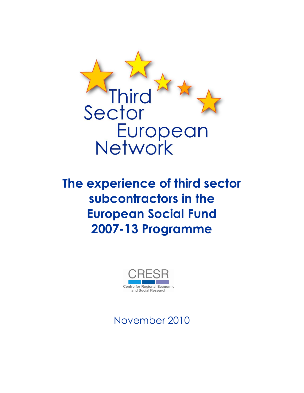

**The experience of third sector subcontractors in the European Social Fund 2007-13 Programme**



November 2010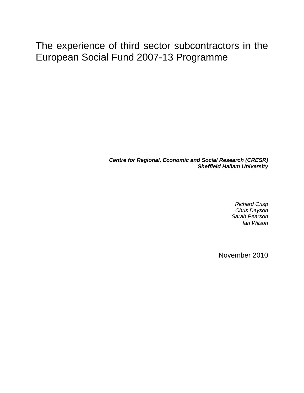# The experience of third sector subcontractors in the European Social Fund 2007-13 Programme

*Centre for Regional, Economic and Social Research (CRESR) Sheffield Hallam University*

> *Richard Crisp Chris Dayson Sarah Pearson Ian Wilson*

November 2010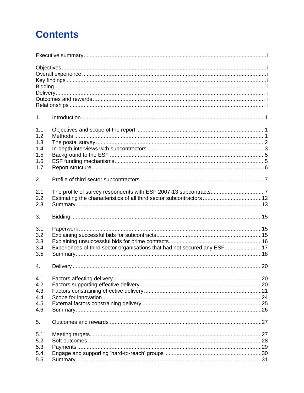# **Contents**

| 1 <sub>1</sub> |                                                                          |  |
|----------------|--------------------------------------------------------------------------|--|
| 1.1            |                                                                          |  |
| 1.2            |                                                                          |  |
| 1.3            |                                                                          |  |
|                |                                                                          |  |
| 1.4            |                                                                          |  |
| 1.5            |                                                                          |  |
| 1.6            |                                                                          |  |
| 1.7            |                                                                          |  |
| 2.             |                                                                          |  |
| 2.1            |                                                                          |  |
| 2.2            |                                                                          |  |
| 2.3            |                                                                          |  |
| 3.             |                                                                          |  |
| 3.1            |                                                                          |  |
|                |                                                                          |  |
| 3.2            |                                                                          |  |
| 3.3            |                                                                          |  |
| 3.4            | Experiences of third sector organisations that had not secured any ESF17 |  |
| 3.5            |                                                                          |  |
| 4.             |                                                                          |  |
| 4.1.           |                                                                          |  |
| 4.2.           |                                                                          |  |
| 4.3.           |                                                                          |  |
| 4.4.           |                                                                          |  |
| 4.5.           |                                                                          |  |
| 4.6.           |                                                                          |  |
|                |                                                                          |  |
| 5.             |                                                                          |  |
| 5.1.           |                                                                          |  |
| 5.2.           |                                                                          |  |
| 5.3.           |                                                                          |  |
| 5.4.           |                                                                          |  |
| 5.5.           |                                                                          |  |
|                |                                                                          |  |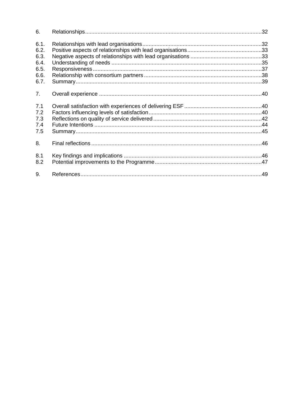| 6.   |  |
|------|--|
| 6.1. |  |
| 6.2. |  |
| 6.3. |  |
| 6.4. |  |
| 6.5. |  |
| 6.6. |  |
| 6.7. |  |
| 7.   |  |
| 7.1  |  |
| 7.2  |  |
| 7.3  |  |
| 7.4  |  |
| 7.5  |  |
| 8.   |  |
| 8.1  |  |
| 8.2  |  |
| 9.   |  |
|      |  |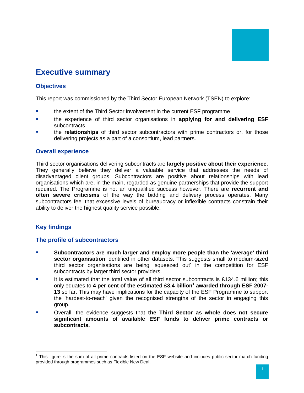# <span id="page-4-0"></span>**Executive summary**

# <span id="page-4-1"></span>**Objectives**

This report was commissioned by the Third Sector European Network (TSEN) to explore:

- the extent of the Third Sector involvement in the current ESF programme
- the experience of third sector organisations in **applying for and delivering ESF** subcontracts
- the **relationships** of third sector subcontractors with prime contractors or, for those delivering projects as a part of a consortium, lead partners.

# <span id="page-4-2"></span>**Overall experience**

Third sector organisations delivering subcontracts are **largely positive about their experience**. They generally believe they deliver a valuable service that addresses the needs of disadvantaged client groups. Subcontractors are positive about relationships with lead organisations which are, in the main, regarded as genuine partnerships that provide the support required. The Programme is not an unqualified success however. There are **recurrent and often severe criticisms** of the way the bidding and delivery process operates. Many subcontractors feel that excessive levels of bureaucracy or inflexible contracts constrain their ability to deliver the highest quality service possible.

# <span id="page-4-3"></span>**Key findings**

## **The profile of subcontractors**

- **Subcontractors are much larger and employ more people than the 'average' third sector organisation** identified in other datasets. This suggests small to medium-sized third sector organisations are being 'squeezed out' in the competition for ESF subcontracts by larger third sector providers.
- It is estimated that the total value of all third sector subcontracts is £134.6 million; this only equates to **4 per cent of the estimated £3.4 billion<sup>1</sup> awarded through ESF 2007- 13** so far. This may have implications for the capacity of the ESF Programme to support the 'hardest-to-reach' given the recognised strengths of the sector in engaging this group.
- Overall, the evidence suggests that **the Third Sector as whole does not secure significant amounts of available ESF funds to deliver prime contracts or subcontracts.**

  $1$  This figure is the sum of all prime contracts listed on the ESF website and includes public sector match funding provided through programmes such as Flexible New Deal.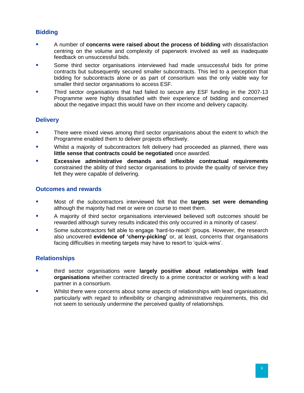# <span id="page-5-0"></span>**Bidding**

- A number of **concerns were raised about the process of bidding** with dissatisfaction centring on the volume and complexity of paperwork involved as well as inadequate feedback on unsuccessful bids.
- Some third sector organisations interviewed had made unsuccessful bids for prime contracts but subsequently secured smaller subcontracts. This led to a perception that bidding for subcontracts alone or as part of consortium was the only viable way for smaller third sector organisations to access ESF.
- Third sector organisations that had failed to secure any ESF funding in the 2007-13 Programme were highly dissatisfied with their experience of bidding and concerned about the negative impact this would have on their income and delivery capacity.

# <span id="page-5-1"></span>**Delivery**

- There were mixed views among third sector organisations about the extent to which the Programme enabled them to deliver projects effectively.
- **Whilst a majority of subcontractors felt delivery had proceeded as planned, there was little sense that contracts could be negotiated** once awarded.
- **Excessive administrative demands and inflexible contractual requirements** constrained the ability of third sector organisations to provide the quality of service they felt they were capable of delivering.

#### <span id="page-5-2"></span>**Outcomes and rewards**

- Most of the subcontractors interviewed felt that the **targets set were demanding** although the majority had met or were on course to meet them.
- A majority of third sector organisations interviewed believed soft outcomes should be rewarded although survey results indicated this only occurred in a minority of cases/.
- Some subcontractors felt able to engage 'hard-to-reach' groups. However, the research also uncovered **evidence of 'cherry-picking'** or, at least, concerns that organisations facing difficulties in meeting targets may have to resort to 'quick-wins'.

## <span id="page-5-3"></span>**Relationships**

- third sector organisations were **largely positive about relationships with lead organisations** whether contracted directly to a prime contractor or working with a lead partner in a consortium.
- Whilst there were concerns about some aspects of relationships with lead organisations, particularly with regard to inflexibility or changing administrative requirements, this did not seem to seriously undermine the perceived quality of relationships.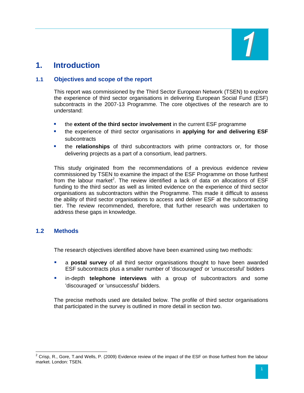

# <span id="page-6-0"></span>**1. Introduction**

# <span id="page-6-1"></span>**1.1 Objectives and scope of the report**

This report was commissioned by the Third Sector European Network (TSEN) to explore the experience of third sector organisations in delivering European Social Fund (ESF) subcontracts in the 2007-13 Programme. The core objectives of the research are to understand:

- the **extent of the third sector involvement** in the current ESF programme
- the experience of third sector organisations in **applying for and delivering ESF** subcontracts
- the **relationships** of third subcontractors with prime contractors or, for those delivering projects as a part of a consortium, lead partners.

This study originated from the recommendations of a previous evidence review commissioned by TSEN to examine the impact of the ESF Programme on those furthest from the labour market<sup>2</sup>. The review identified a lack of data on allocations of  $ESF$ funding to the third sector as well as limited evidence on the experience of third sector organisations as subcontractors within the Programme. This made it difficult to assess the ability of third sector organisations to access and deliver ESF at the subcontracting tier. The review recommended, therefore, that further research was undertaken to address these gaps in knowledge.

## <span id="page-6-2"></span>**1.2 Methods**

The research objectives identified above have been examined using two methods:

- a **postal survey** of all third sector organisations thought to have been awarded ESF subcontracts plus a smaller number of 'discouraged' or 'unsuccessful' bidders
- **E** in-depth **telephone interviews** with a group of subcontractors and some 'discouraged' or 'unsuccessful' bidders.

The precise methods used are detailed below. The profile of third sector organisations that participated in the survey is outlined in more detail in section two.

  $2$  Crisp, R., Gore, T.and Wells, P. (2009) Evidence review of the impact of the ESF on those furthest from the labour market. London: TSEN.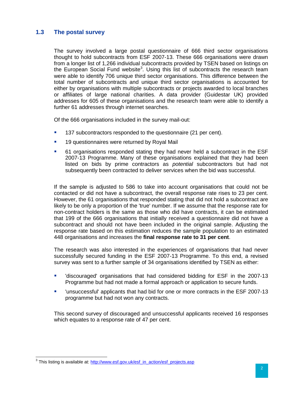#### <span id="page-7-0"></span>**1.3 The postal survey**

The survey involved a large postal questionnaire of 666 third sector organisations thought to hold subcontracts from ESF 2007-13. These 666 organisations were drawn from a longer list of 1,266 individual subcontracts provided by TSEN based on listings on the European Social Fund website<sup>3</sup>. Using this list of subcontracts the research team were able to identify 706 unique third sector organisations. This difference between the total number of subcontracts and unique third sector organisations is accounted for either by organisations with multiple subcontracts or projects awarded to local branches or affiliates of large national charities. A data provider (Guidestar UK) provided addresses for 605 of these organisations and the research team were able to identify a further 61 addresses through internet searches.

Of the 666 organisations included in the survey mail-out:

- <sup>1</sup> 137 subcontractors responded to the questionnaire (21 per cent).
- **19 questionnaires were returned by Royal Mail**
- 61 organisations responded stating they had never held a subcontract in the ESF 2007-13 Programme. Many of these organisations explained that they had been listed on bids by prime contractors as *potential* subcontractors but had not subsequently been contracted to deliver services when the bid was successful.

If the sample is adjusted to 586 to take into account organisations that could not be contacted or did not have a subcontract, the overall response rate rises to 23 per cent. However, the 61 organisations that responded stating that did not hold a subcontract are likely to be only a proportion of the 'true' number. If we assume that the response rate for non-contract holders is the same as those who did have contracts, it can be estimated that 199 of the 666 organisations that initially received a questionnaire did not have a subcontract and should not have been included in the original sample. Adjusting the response rate based on this estimation reduces the sample population to an estimated 448 organisations and increases the **final response rate to 31 per cent**.

The research was also interested in the experiences of organisations that had never successfully secured funding in the ESF 2007-13 Programme. To this end, a revised survey was sent to a further sample of 34 organisations identified by TSEN as either:

- 'discouraged' organisations that had considered bidding for ESF in the 2007-13 Programme but had not made a formal approach or application to secure funds.
- 'unsuccessful' applicants that had bid for one or more contracts in the ESF 2007-13 programme but had not won any contracts.

This second survey of discouraged and unsuccessful applicants received 16 responses which equates to a response rate of 47 per cent.

 $\overline{a}$ 

<sup>&</sup>lt;sup>3</sup> This listing is available at: [http://www.esf.gov.uk/esf\\_in\\_action/esf\\_projects.asp](http://www.esf.gov.uk/esf_in_action/esf_projects.asp)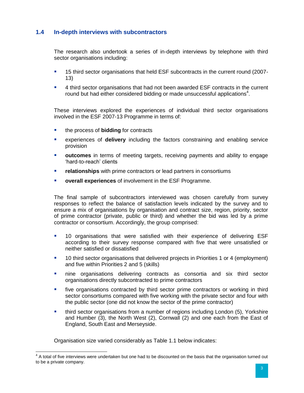# <span id="page-8-0"></span>**1.4 In-depth interviews with subcontractors**

The research also undertook a series of in-depth interviews by telephone with third sector organisations including:

- 15 third sector organisations that held ESF subcontracts in the current round (2007- 13)
- 4 third sector organisations that had not been awarded ESF contracts in the current round but had either considered bidding or made unsuccessful applications<sup>4</sup>.

These interviews explored the experiences of individual third sector organisations involved in the ESF 2007-13 Programme in terms of:

- **the process of bidding for contracts**
- experiences of **delivery** including the factors constraining and enabling service provision
- **outcomes** in terms of meeting targets, receiving payments and ability to engage 'hard-to-reach' clients
- **relationships** with prime contractors or lead partners in consortiums
- **overall experiences** of involvement in the ESF Programme.

The final sample of subcontractors interviewed was chosen carefully from survey responses to reflect the balance of satisfaction levels indicated by the survey and to ensure a mix of organisations by organisation and contract size, region, priority, sector of prime contractor (private, public or third) and whether the bid was led by a prime contractor or consortium. Accordingly, the group comprised:

- 10 organisations that were satisfied with their experience of delivering ESF according to their survey response compared with five that were unsatisfied or neither satisfied or dissatisfied
- 10 third sector organisations that delivered projects in Priorities 1 or 4 (employment) and five within Priorities 2 and 5 (skills)
- **nine organisations delivering contracts as consortia and six third sector** organisations directly subcontracted to prime contractors
- five organisations contracted by third sector prime contractors or working in third sector consortiums compared with five working with the private sector and four with the public sector (one did not know the sector of the prime contractor)
- third sector organisations from a number of regions including London (5), Yorkshire and Humber (3), the North West (2), Cornwall (2) and one each from the East of England, South East and Merseyside.

Organisation size varied considerably as Table 1.1 below indicates:

 <sup>4</sup> A total of five interviews were undertaken but one had to be discounted on the basis that the organisation turned out to be a private company.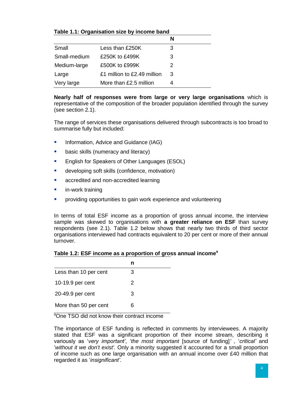|              |                             | N |
|--------------|-----------------------------|---|
| Small        | Less than £250K             | З |
| Small-medium | £250K to £499K              | 3 |
| Medium-large | £500K to £999K              | 2 |
| Large        | £1 million to £2.49 million | 3 |
| Very large   | More than £2.5 million      |   |

**Nearly half of responses were from large or very large organisations** which is representative of the composition of the broader population identified through the survey (see section 2.1).

The range of services these organisations delivered through subcontracts is too broad to summarise fully but included:

- **Information, Advice and Guidance (IAG)**
- **basic skills (numeracy and literacy)**
- **English for Speakers of Other Languages (ESOL)**
- **developing soft skills (confidence, motivation)**
- **EXECR** accredited and non-accredited learning
- **in-work training**
- providing opportunities to gain work experience and volunteering

In terms of total ESF income as a proportion of gross annual income, the interview sample was skewed to organisations with **a greater reliance on ESF** than survey respondents (see 2.1). Table 1.2 below shows that nearly two thirds of third sector organisations interviewed had contracts equivalent to 20 per cent or more of their annual turnover.

| Table 1.2: ESF income as a proportion of gross annual income <sup>a</sup> |  |  |
|---------------------------------------------------------------------------|--|--|
|---------------------------------------------------------------------------|--|--|

| Less than 10 per cent | З  |
|-----------------------|----|
| 10-19.9 per cent      | 2  |
| 20-49.9 per cent      | 3  |
| More than 50 per cent | ิค |

<sup>a</sup>One TSO did not know their contract income

The importance of ESF funding is reflected in comments by interviewees. A majority stated that ESF was a significant proportion of their income stream, describing it variously as '*very important'*, '*the most important* [source of funding]*'* , '*critical'* and '*without it we don't exist'.* Only a minority suggested it accounted for a small proportion of income such as one large organisation with an annual income over £40 million that regarded it as '*insignificant'*.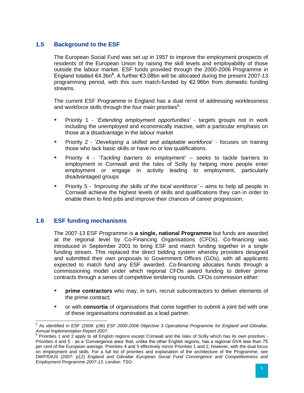# <span id="page-10-0"></span>**1.5 Background to the ESF**

The European Social Fund was set up in 1957 to improve the employment prospects of residents of the European Union by raising the skill levels and employability of those outside the labour market. ESF funds provided through the 2000-2006 Programme in England totalled €4.3bn**<sup>5</sup>** . A further €3.08bn will be allocated during the present 2007-13 programming period, with this sum match-funded by €2.96bn from domestic funding streams.

The current ESF Programme in England has a dual remit of addressing worklessness and workforce skills through the four main priorities $6$ :

- **Priority 1 'Extending employment opportunities' targets groups not in work** including the unemployed and economically inactive, with a particular emphasis on those at a disadvantage in the labour market
- Priority 2 '*Developing a skilled and adaptable workforce' -* focuses on training those who lack basic skills or have no or low qualifications.
- Priority 4 '*Tackling barriers to employment'* seeks to tackle barriers to employment in Cornwall and the Isles of Scilly by helping more people enter employment or engage in activity leading to employment, particularly disadvantaged groups
- Priority 5 *'Improving the skills of the local workforce'* aims to help all people in Cornwall achieve the highest levels of skills and qualifications they can in order to enable them to find jobs and improve their chances of career progression.

## <span id="page-10-1"></span>**1.6 ESF funding mechanisms**

The 2007-13 ESF Programme is **a single, national Programme** but funds are awarded at the regional level by Co-Financing Organisations (CFOs). Co-financing was introduced in September 2001 to bring ESF and match funding together in a single funding stream. This replaced the direct bidding system whereby providers designed and submitted their own proposals to Government Offices (GOs), with all applicants expected to match fund any ESF awarded. Co-financing allocates funds through a commissioning model under which regional CFOs award funding to deliver prime contracts through a series of competitive tendering rounds. CFOs commission either:

- **prime contractors** who may, in turn, recruit subcontractors to deliver elements of the prime contract;
- or with **consortia** of organisations that come together to submit a joint bid with one of these organisations nominated as a lead partner.

 5 As identified in ESF (2008: p36) *ESF 2000-2006 Objective 3 Operational Programme for England and Gibraltar, Annual Implementation Report 2007*.

 $^6$  Priorities 1 and 2 apply to all English regions except Cornwall and the Isles of Scilly which has its own priorities -Priorities 4 and 5 - as a 'Convergence area' that, unlike the other English regions, has a regional GVA less than 75 per cent of the European average. Priorities 4 and 5 effectively mirror Priorities 1 and 2, however, with the dual focus on employment and skills. For a full list of priorities and explanation of the architecture of the Programme, see DWP/DIUS (2007: p12) *England and Gibraltar European Social Fund Convergence and Competitiveness and Employment Programme 2007-13*. London: TSO.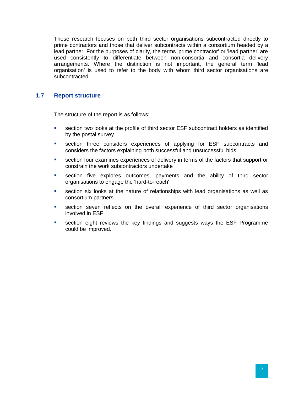These research focuses on both third sector organisations subcontracted directly to prime contractors and those that deliver subcontracts within a consortium headed by a lead partner. For the purposes of clarity, the terms 'prime contractor' or 'lead partner' are used consistently to differentiate between non-consortia and consortia delivery arrangements. Where the distinction is not important, the general term 'lead organisation' is used to refer to the body with whom third sector organisations are subcontracted.

# <span id="page-11-0"></span>**1.7 Report structure**

The structure of the report is as follows:

- **EXECT** section two looks at the profile of third sector ESF subcontract holders as identified by the postal survey
- **EXECT** section three considers experiences of applying for ESF subcontracts and considers the factors explaining both successful and unsuccessful bids
- section four examines experiences of delivery in terms of the factors that support or constrain the work subcontractors undertake
- **Exection five explores outcomes, payments and the ability of third sector** organisations to engage the 'hard-to-reach'
- section six looks at the nature of relationships with lead organisations as well as consortium partners
- **EXECT** section seven reflects on the overall experience of third sector organisations involved in ESF
- **EXECT** section eight reviews the key findings and suggests ways the ESF Programme could be improved.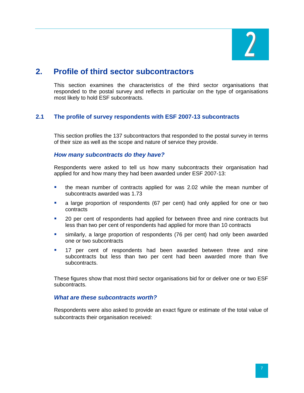

# <span id="page-12-0"></span>**2. Profile of third sector subcontractors**

This section examines the characteristics of the third sector organisations that responded to the postal survey and reflects in particular on the type of organisations most likely to hold ESF subcontracts.

## <span id="page-12-1"></span>**2.1 The profile of survey respondents with ESF 2007-13 subcontracts**

This section profiles the 137 subcontractors that responded to the postal survey in terms of their size as well as the scope and nature of service they provide.

#### *How many subcontracts do they have?*

Respondents were asked to tell us how many subcontracts their organisation had applied for and how many they had been awarded under ESF 2007-13:

- the mean number of contracts applied for was 2.02 while the mean number of subcontracts awarded was 1.73
- a large proportion of respondents (67 per cent) had only applied for one or two contracts
- 20 per cent of respondents had applied for between three and nine contracts but less than two per cent of respondents had applied for more than 10 contracts
- similarly, a large proportion of respondents (76 per cent) had only been awarded one or two subcontracts
- 17 per cent of respondents had been awarded between three and nine subcontracts but less than two per cent had been awarded more than five subcontracts.

These figures show that most third sector organisations bid for or deliver one or two ESF subcontracts.

#### *What are these subcontracts worth?*

Respondents were also asked to provide an exact figure or estimate of the total value of subcontracts their organisation received: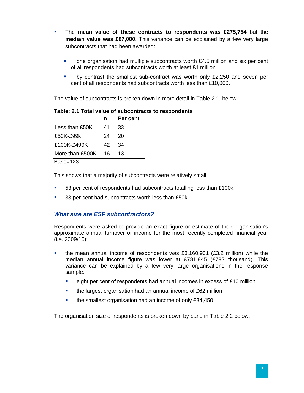- **The mean value of these contracts to respondents was £275,754** but the **median value was £87,000**. This variance can be explained by a few very large subcontracts that had been awarded:
	- one organisation had multiple subcontracts worth £4.5 million and six per cent of all respondents had subcontracts worth at least £1 million
	- by contrast the smallest sub-contract was worth only £2,250 and seven per cent of all respondents had subcontracts worth less than £10,000.

The value of subcontracts is broken down in more detail in Table 2.1 below:

| Table: 2.1 Total value of subcontracts to respondents |  |
|-------------------------------------------------------|--|
|-------------------------------------------------------|--|

|                 | n   | Per cent |
|-----------------|-----|----------|
| Less than £50K  | 41  | 33       |
| £50K-£99k       | 24  | 20       |
| £100K-£499K     | 42. | 34       |
| More than £500K | 16  | 13       |
| Base=123        |     |          |

This shows that a majority of subcontracts were relatively small:

- 53 per cent of respondents had subcontracts totalling less than £100k
- 33 per cent had subcontracts worth less than £50k.

## *What size are ESF subcontractors?*

Respondents were asked to provide an exact figure or estimate of their organisation's approximate annual turnover or income for the most recently completed financial year (i.e. 2009/10):

- the mean annual income of respondents was £3,160,901 (£3.2 million) while the median annual income figure was lower at £781,845 (£782 thousand). This variance can be explained by a few very large organisations in the response sample:
	- **EXECT** eight per cent of respondents had annual incomes in excess of £10 million
	- the largest organisation had an annual income of £62 million
	- **the smallest organisation had an income of only £34,450.**

The organisation size of respondents is broken down by band in Table 2.2 below.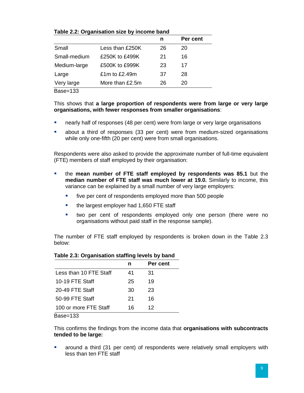|              |                 | n  | Per cent |
|--------------|-----------------|----|----------|
| Small        | Less than £250K | 26 | 20       |
| Small-medium | £250K to £499K  | 21 | 16       |
| Medium-large | £500K to £999K  | 23 | 17       |
| Large        | £1m to £2.49m   | 37 | 28       |
| Very large   | More than £2.5m | 26 | 20       |
|              |                 |    |          |

#### **Table 2.2: Organisation size by income band**

Base=133

This shows that **a large proportion of respondents were from large or very large organisations, with fewer responses from smaller organisations**:

- **nearly half of responses (48 per cent) were from large or very large organisations**
- about a third of responses (33 per cent) were from medium-sized organisations while only one-fifth (20 per cent) were from small organisations.

Respondents were also asked to provide the approximate number of full-time equivalent (FTE) members of staff employed by their organisation:

- the **mean number of FTE staff employed by respondents was 85.1** but the **median number of FTE staff was much lower at 19.0.** Similarly to income, this variance can be explained by a small number of very large employers:
	- **five per cent of respondents employed more than 500 people**
	- the largest employer had 1,650 FTE staff
	- **•** two per cent of respondents employed only one person (there were no organisations without paid staff in the response sample).

The number of FTE staff employed by respondents is broken down in the Table 2.3 below:

#### **Table 2.3: Organisation staffing levels by band**

|                        | n  | Per cent |
|------------------------|----|----------|
| Less than 10 FTE Staff | 41 | 31       |
| 10-19 FTE Staff        | 25 | 19       |
| 20-49 FTE Staff        | 30 | 23       |
| 50-99 FTE Staff        | 21 | 16       |
| 100 or more FTE Staff  | 16 | 12       |

Base=133

This confirms the findings from the income data that **organisations with subcontracts tended to be large:** 

 around a third (31 per cent) of respondents were relatively small employers with less than ten FTE staff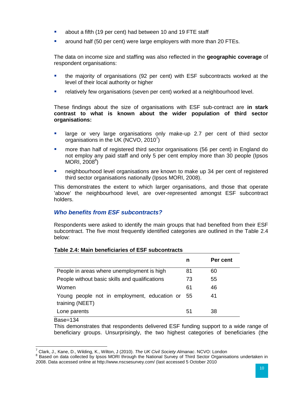- about a fifth (19 per cent) had between 10 and 19 FTE staff
- around half (50 per cent) were large employers with more than 20 FTEs.

The data on income size and staffing was also reflected in the **geographic coverage** of respondent organisations:

- the majority of organisations (92 per cent) with ESF subcontracts worked at the level of their local authority or higher
- relatively few organisations (seven per cent) worked at a neighbourhood level.

These findings about the size of organisations with ESF sub-contract are **in stark contrast to what is known about the wider population of third sector organisations:**

- **EXT** large or very large organisations only make-up 2.7 per cent of third sector organisations in the UK (NCVO, 2010<sup>7</sup>)
- more than half of registered third sector organisations (56 per cent) in England do not employ any paid staff and only 5 per cent employ more than 30 people (Ipsos MORI, 2008<sup>8</sup>)
- neighbourhood level organisations are known to make up 34 per cent of registered third sector organisations nationally (Ipsos MORI, 2008).

This demonstrates the extent to which larger organisations, and those that operate 'above' the neighbourhood level, are over-represented amongst ESF subcontract holders.

## *Who benefits from ESF subcontracts?*

Respondents were asked to identify the main groups that had benefited from their ESF subcontract. The five most frequently identified categories are outlined in the Table 2.4 below:

|                                                                 | n  | Per cent |
|-----------------------------------------------------------------|----|----------|
| People in areas where unemployment is high                      | 81 | 60       |
| People without basic skills and qualifications                  | 73 | 55       |
| Women                                                           | 61 | 46       |
| Young people not in employment, education or<br>training (NEET) | 55 | 41       |
| Lone parents                                                    | 51 | 38       |

## **Table 2.4: Main beneficiaries of ESF subcontracts**

Base=134

This demonstrates that respondents delivered ESF funding support to a wide range of beneficiary groups. Unsurprisingly, the two highest categories of beneficiaries (the

<sup>7</sup> Clark, J., Kane, D., Wilding, K., Wilton, J (2010). *The UK Civil Society Almanac*. NCVO: London

<sup>&</sup>lt;sup>8</sup> Based on data collected by Ipsos MORI through the National Survey of Third Sector Organisations undertaken in 2008. Data accessed online at http://www.nscsesurvey.com/ (last accessed 5 October 2010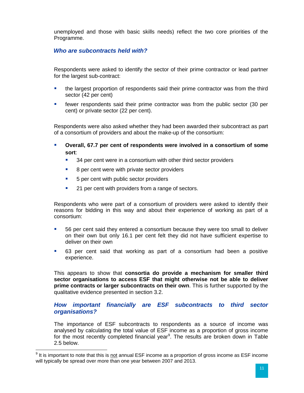unemployed and those with basic skills needs) reflect the two core priorities of the Programme.

#### *Who are subcontracts held with?*

Respondents were asked to identify the sector of their prime contractor or lead partner for the largest sub-contract:

- the largest proportion of respondents said their prime contractor was from the third sector (42 per cent)
- **F** fewer respondents said their prime contractor was from the public sector (30 per cent) or private sector (22 per cent).

Respondents were also asked whether they had been awarded their subcontract as part of a consortium of providers and about the make-up of the consortium:

- **Overall, 67.7 per cent of respondents were involved in a consortium of some sort**:
	- 34 per cent were in a consortium with other third sector providers
	- 8 per cent were with private sector providers
	- 5 per cent with public sector providers
	- **21 per cent with providers from a range of sectors.**

Respondents who were part of a consortium of providers were asked to identify their reasons for bidding in this way and about their experience of working as part of a consortium:

- 56 per cent said they entered a consortium because they were too small to deliver on their own but only 16.1 per cent felt they did not have sufficient expertise to deliver on their own
- 63 per cent said that working as part of a consortium had been a positive experience.

This appears to show that **consortia do provide a mechanism for smaller third sector organisations to access ESF that might otherwise not be able to deliver prime contracts or larger subcontracts on their own**. This is further supported by the qualitative evidence presented in section 3.2.

#### *How important financially are ESF subcontracts to third sector organisations?*

The importance of ESF subcontracts to respondents as a source of income was analysed by calculating the total value of ESF income as a proportion of gross income for the most recently completed financial year<sup>9</sup>. The results are broken down in Table 2.5 below.

erther metal metal metal metal metal metal metal metal metal metal metal metal metal metal metal metal metal m<br>In this important to note that this is <u>not</u> annual ESF income as a proportion of gross income as ESF income will typically be spread over more than one year between 2007 and 2013.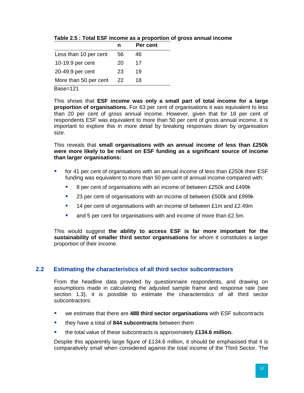|                       | n  | Per cent |
|-----------------------|----|----------|
| Less than 10 per cent | 56 | 46       |
| 10-19.9 per cent      | 20 | 17       |
| 20-49.9 per cent      | 23 | 19       |
| More than 50 per cent | 22 | 18       |

**Table 2.5 : Total ESF income as a proportion of gross annual income**

Base=121

This shows that **ESF income was only a small part of total income for a large proportion of organisations.** For 63 per cent of organisations it was equivalent to less than 20 per cent of gross annual income. However, given that for 18 per cent of respondents ESF was equivalent to more than 50 per cent of gross annual income, it is important to explore this in more detail by breaking responses down by organisation size.

This reveals that **small organisations with an annual income of less than £250k were more likely to be reliant on ESF funding as a significant source of income than larger organisations:** 

- **for 41 per cent of organisations with an annual income of less than £250k their ESF** funding was equivalent to more than 50 per cent of annual income compared with:
	- 8 per cent of organisations with an income of between £250k and £499k
	- <sup>2</sup> 23 per cent of organisations with an income of between £500k and £999k
	- **14 per cent of organisations with an income of between £1m and £2.49m**
	- and 5 per cent for organisations with and income of more than £2.5m.

This would suggest **the ability to access ESF is far more important for the sustainability of smaller third sector organisations** for whom it constitutes a larger proportion of their income.

## <span id="page-17-0"></span>**2.2 Estimating the characteristics of all third sector subcontractors**

From the headline data provided by questionnaire respondents, and drawing on assumptions made in calculating the adjusted sample frame and response rate (see section 1.3), it is possible to estimate the characteristics of all third sector subcontractors:

- we estimate that there are **488 third sector organisations** with ESF subcontracts
- they have a total of **844 subcontracts** between them
- the total value of these subcontracts is approximately **£134.6 million.**

Despite this apparently large figure of £134.6 million, it should be emphasised that it is comparatively small when considered against the total income of the Third Sector. The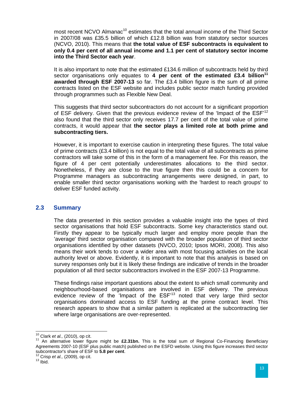most recent NCVO Almanac<sup>10</sup> estimates that the total annual income of the Third Sector in 2007/08 was £35.5 billion of which £12.8 billion was from statutory sector sources (NCVO, 2010). This means that **the total value of ESF subcontracts is equivalent to only 0.4 per cent of all annual income and 1.1 per cent of statutory sector income into the Third Sector each year**.

It is also important to note that the estimated £134.6 million of subcontracts held by third sector organisations only equates to **4 per cent of the estimated £3.4 billion<sup>11</sup> awarded through ESF 2007-13** so far. The £3.4 billion figure is the sum of all prime contracts listed on the ESF website and includes public sector match funding provided through programmes such as Flexible New Deal.

This suggests that third sector subcontractors do not account for a significant proportion of ESF delivery. Given that the previous evidence review of the 'Impact of the ESF'<sup>12</sup> also found that the third sector only receives 17.7 per cent of the total value of prime contracts, it would appear that **the sector plays a limited role at both prime and subcontracting tiers.**

However, it is important to exercise caution in interpreting these figures. The total value of prime contracts (£3.4 billion) is not equal to the total value of all subcontracts as prime contractors will take some of this in the form of a management fee. For this reason, the figure of 4 per cent potentially underestimates allocations to the third sector. Nonetheless, if they are close to the true figure then this could be a concern for Programme managers as subcontracting arrangements were designed, in part, to enable smaller third sector organisations working with the 'hardest to reach groups' to deliver ESF funded activity.

#### <span id="page-18-0"></span>**2.3 Summary**

The data presented in this section provides a valuable insight into the types of third sector organisations that hold ESF subcontracts. Some key characteristics stand out. Firstly they appear to be typically much larger and employ more people than the 'average' third sector organisation compared with the broader population of third sector organisations identified by other datasets (NVCO, 2010; Ipsos MORI, 2008). This also means their work tends to cover a wider area with most focusing activities on the local authority level or above. Evidently, it is important to note that this analysis is based on survey responses only but it is likely these findings are indicative of trends in the broader population of all third sector subcontractors involved in the ESF 2007-13 Programme.

These findings raise important questions about the extent to which small community and neighbourhood-based organisations are involved in ESF delivery. The previous evidence review of the 'Impact of the ESF'<sup>13</sup> noted that very large third sector organisations dominated access to ESF funding at the prime contract level. This research appears to show that a similar pattern is replicated at the subcontracting tier where large organisations are over-represented.

 $\overline{a}$ <sup>10</sup> Clark *et al.,* (2010), op cit.

<sup>11</sup> An alternative lower figure might be **£2.31bn.** This is the total sum of Regional Co-Financing Beneficiary Agreements 2007-10 (ESF plus public match) published on the ESFD website. Using this figure increases third sector subcontractor's share of ESF to **5.8 per cent**.

<sup>12</sup> Crisp *et al.,* (2009), op cit.

 $13$  lbid.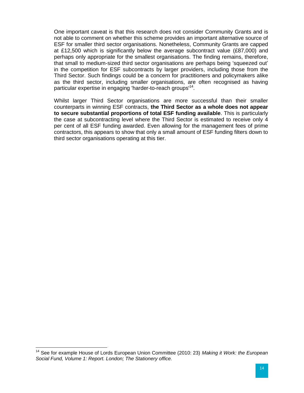One important caveat is that this research does not consider Community Grants and is not able to comment on whether this scheme provides an important alternative source of ESF for smaller third sector organisations. Nonetheless, Community Grants are capped at £12,500 which is significantly below the average subcontract value (£87,000) and perhaps only appropriate for the smallest organisations. The finding remains, therefore, that small to medium-sized third sector organisations are perhaps being 'squeezed out' in the competition for ESF subcontracts by larger providers, including those from the Third Sector. Such findings could be a concern for practitioners and policymakers alike as the third sector, including smaller organisations, are often recognised as having particular expertise in engaging 'harder-to-reach groups'<sup>14</sup>.

Whilst larger Third Sector organisations are more successful than their smaller counterparts in winning ESF contracts, **the Third Sector as a whole does not appear to secure substantial proportions of total ESF funding available**. This is particularly the case at subcontracting level where the Third Sector is estimated to receive only 4 per cent of all ESF funding awarded. Even allowing for the management fees of prime contractors, this appears to show that only a small amount of ESF funding filters down to third sector organisations operating at this tier.

 $\overline{\phantom{a}}$ 

<sup>14</sup> See for example House of Lords European Union Committee (2010: 23) *Making it Work: the European Social Fund, Volume 1: Report. London; The Stationery office.*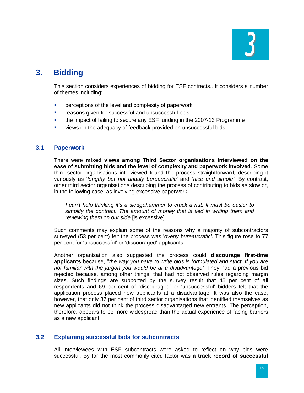

# <span id="page-20-0"></span>**3. Bidding**

This section considers experiences of bidding for ESF contracts.. It considers a number of themes including:

- **PERCEPTIONS** of the level and complexity of paperwork
- **F** reasons given for successful and unsuccessful bids
- **the impact of failing to secure any ESF funding in the 2007-13 Programme**
- views on the adequacy of feedback provided on unsuccessful bids.

#### <span id="page-20-1"></span>**3.1 Paperwork**

There were **mixed views among Third Sector organisations interviewed on the ease of submitting bids and the level of complexity and paperwork involved**. Some third sector organisations interviewed found the process straightforward, describing it variously as '*lengthy but not unduly bureaucratic'* and '*nice and simple'*. By contrast, other third sector organisations describing the process of contributing to bids as slow or, in the following case, as involving excessive paperwork:

*I can't help thinking it's a sledgehammer to crack a nut. It must be easier to simplify the contract. The amount of money that is tied in writing them and reviewing them on our side* [is excessive].

Such comments may explain some of the reasons why a majority of subcontractors surveyed (53 per cent) felt the process was '*overly bureaucratic'*. This figure rose to 77 per cent for 'unsuccessful' or 'discouraged' applicants.

Another organisation also suggested the process could **discourage first-time applicants** because, ''*the way you have to write bids is formulated and strict. If you are not familiar with the jargon you would be at a disadvantage'.* They had a previous bid rejected because, among other things, that had not observed rules regarding margin sizes. Such findings are supported by the survey result that 45 per cent of all respondents and 69 per cent of 'discouraged' or 'unsuccessful' bidders felt that the application process placed new applicants at a disadvantage. It was also the case, however, that only 37 per cent of third sector organisations that identified themselves as new applicants did not think the process disadvantaged new entrants. The perception, therefore, appears to be more widespread than the actual experience of facing barriers as a new applicant.

## <span id="page-20-2"></span>**3.2 Explaining successful bids for subcontracts**

All interviewees with ESF subcontracts were asked to reflect on why bids were successful. By far the most commonly cited factor was **a track record of successful**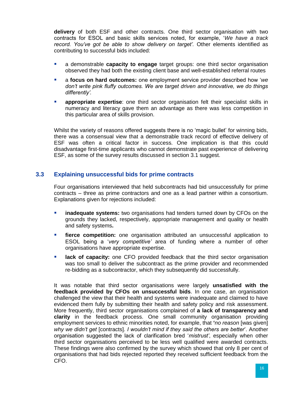**delivery** of both ESF and other contracts. One third sector organisation with two contracts for ESOL and basic skills services noted, for example, '*We have a track record. You've got be able to show delivery on target'.* Other elements identified as contributing to successful bids included:

- a demonstrable **capacity to engage** target groups: one third sector organisation observed they had both the existing client base and well-established referral routes
- a **focus on hard outcomes:** one employment service provider described how '*we don't write pink fluffy outcomes. We are target driven and innovative, we do things differently'.*
- **appropriate expertise**: one third sector organisation felt their specialist skills in numeracy and literacy gave them an advantage as there was less competition in this particular area of skills provision.

Whilst the variety of reasons offered suggests there is no 'magic bullet' for winning bids, there was a consensual view that a demonstrable track record of effective delivery of ESF was often a critical factor in success. One implication is that this could disadvantage first-time applicants who cannot demonstrate past experience of delivering ESF, as some of the survey results discussed in section 3.1 suggest.

#### <span id="page-21-0"></span>**3.3 Explaining unsuccessful bids for prime contracts**

Four organisations interviewed that held subcontracts had bid unsuccessfully for prime contracts – three as prime contractors and one as a lead partner within a consortium. Explanations given for rejections included:

- **inadequate systems:** two organisations had tenders turned down by CFOs on the grounds they lacked, respectively, appropriate management and quality or health and safety systems**.**
- **fierce competition:** one organisation attributed an unsuccessful application to ESOL being a '*very competitive'* area of funding where a number of other organisations have appropriate expertise.
- **lack of capacity:** one CFO provided feedback that the third sector organisation was too small to deliver the subcontract as the prime provider and recommended re-bidding as a subcontractor, which they subsequently did successfully.

It was notable that third sector organisations were largely **unsatisfied with the feedback provided by CFOs on unsuccessful bids**. In one case, an organisation challenged the view that their health and systems were inadequate and claimed to have evidenced them fully by submitting their health and safety policy and risk assessment. More frequently, third sector organisations complained of **a lack of transparency and clarity** in the feedback process. One small community organisation providing employment services to ethnic minorities noted, for example, that **'***no reason* [was given] *why we didn't get* [contracts]. *I wouldn't mind if they said the others are better*'. Another organisation suggested the lack of clarification bred '*mistrust'*, especially when other third sector organisations perceived to be less well qualified were awarded contracts. These findings were also confirmed by the survey which showed that only 8 per cent of organisations that had bids rejected reported they received sufficient feedback from the CFO.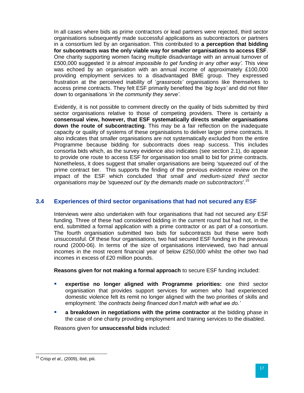In all cases where bids as prime contractors or lead partners were rejected, third sector organisations subsequently made successful applications as subcontractors or partners in a consortium led by an organisation. This contributed to **a perception that bidding for subcontracts was the only viable way for smaller organisations to access ESF**. One charity supporting women facing multiple disadvantage with an annual turnover of £500,000 suggested '*it is almost impossible to get funding in any other way'.* This view was echoed by an organisation with an annual income of approximately £100,000 providing employment services to a disadvantaged BME group. They expressed frustration at the perceived inability of '*grassroots'* organisations like themselves to access prime contracts. They felt ESF primarily benefited the '*big boys'* and did not filter down to organisations '*in the community they serve'*.

Evidently, it is not possible to comment directly on the quality of bids submitted by third sector organisations relative to those of competing providers. There is certainly a **consensual view, however, that ESF systematically directs smaller organisations down the route of subcontracting**. This may be a fair reflection on the inadequate capacity or quality of systems of these organisations to deliver larger prime contracts. It also indicates that smaller organisations are not systematically excluded from the entire Programme because bidding for subcontracts does reap success. This includes consortia bids which, as the survey evidence also indicates (see section 2.1), do appear to provide one route to access ESF for organisation too small to bid for prime contracts. Nonetheless, it does suggest that smaller organisations are being 'squeezed out' of the prime contract tier. This supports the finding of the previous evidence review on the impact of the ESF which concluded *'that small and medium-sized third sector organisations may be 'squeezed out' by the demands made on subcontractors*'.<sup>15</sup>

## <span id="page-22-0"></span>**3.4 Experiences of third sector organisations that had not secured any ESF**

Interviews were also undertaken with four organisations that had not secured *any* ESF funding. Three of these had considered bidding in the current round but had not, in the end, submitted a formal application with a prime contractor or as part of a consortium. The fourth organisation submitted two bids for subcontracts but these were both unsuccessful. Of these four organisations, two had secured ESF funding in the previous round (2000-06). In terms of the size of organisations interviewed, two had annual incomes in the most recent financial year of below £250,000 whilst the other two had incomes in excess of £20 million pounds.

**Reasons given for not making a formal approach** to secure ESF funding included:

- **expertise no longer aligned with Programme priorities:** one third sector organisation that provides support services for women who had experienced domestic violence felt its remit no longer aligned with the two priorities of skills and employment: '*the contracts being financed don't match with what we do.'*
- **a breakdown in negotiations with the prime contractor** at the bidding phase in the case of one charity providing employment and training services to the disabled.

Reasons given for **unsuccessful bids** included:

 $\overline{a}$ <sup>15</sup> Crisp *et al.,* (2009), ibid, piii.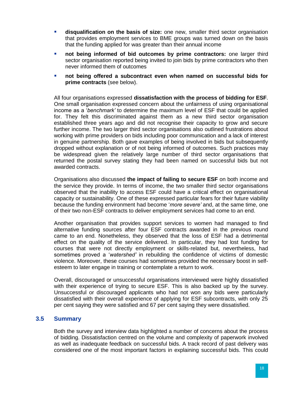- **disqualification on the basis of size:** one new, smaller third sector organisation that provides employment services to BME groups was turned down on the basis that the funding applied for was greater than their annual income
- **not being informed of bid outcomes by prime contractors:** one larger third sector organisation reported being invited to join bids by prime contractors who then never informed them of outcomes
- **not being offered a subcontract even when named on successful bids for prime contracts** (see below).

All four organisations expressed **dissatisfaction with the process of bidding for ESF**. One small organisation expressed concern about the unfairness of using organisational income as a '*benchmark'* to determine the maximum level of ESF that could be applied for. They felt this discriminated against them as a new third sector organisation established three years ago and did not recognise their capacity to grow and secure further income. The two larger third sector organisations also outlined frustrations about working with prime providers on bids including poor communication and a lack of interest in genuine partnership. Both gave examples of being involved in bids but subsequently dropped without explanation or of not being informed of outcomes. Such practices may be widespread given the relatively large number of third sector organisations that returned the postal survey stating they had been named on successful bids but not awarded contracts.

Organisations also discussed **the impact of failing to secure ESF** on both income and the service they provide. In terms of income, the two smaller third sector organisations observed that the inability to access ESF could have a critical effect on organisational capacity or sustainability. One of these expressed particular fears for their future viability because the funding environment had become '*more severe'* and, at the same time, one of their two non-ESF contracts to deliver employment services had come to an end.

Another organisation that provides support services to women had managed to find alternative funding sources after four ESF contracts awarded in the previous round came to an end. Nonetheless, they observed that the loss of ESF had a detrimental effect on the quality of the service delivered. In particular, they had lost funding for courses that were not directly employment or skills-related but, nevertheless, had sometimes proved a '*watershed'* in rebuilding the confidence of victims of domestic violence. Moreover, these courses had sometimes provided the necessary boost in selfesteem to later engage in training or contemplate a return to work.

Overall, discouraged or unsuccessful organisations interviewed were highly dissatisfied with their experience of trying to secure ESF. This is also backed up by the survey. Unsuccessful or discouraged applicants who had not won any bids were particularly dissatisfied with their overall experience of applying for ESF subcontracts, with only 25 per cent saying they were satisfied and 67 per cent saying they were dissatisfied.

## <span id="page-23-0"></span>**3.5 Summary**

Both the survey and interview data highlighted a number of concerns about the process of bidding. Dissatisfaction centred on the volume and complexity of paperwork involved as well as inadequate feedback on successful bids. A track record of past delivery was considered one of the most important factors in explaining successful bids. This could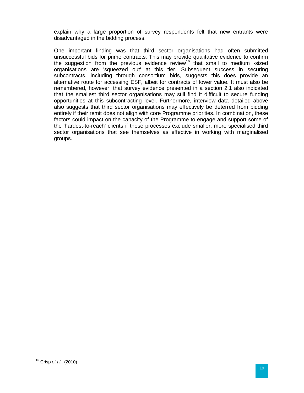explain why a large proportion of survey respondents felt that new entrants were disadvantaged in the bidding process.

One important finding was that third sector organisations had often submitted unsuccessful bids for prime contracts. This may provide qualitative evidence to confirm the suggestion from the previous evidence  $review^{16}$  that small to medium -sized organisations are 'squeezed out' at this tier. Subsequent success in securing subcontracts, including through consortium bids, suggests this does provide an alternative route for accessing ESF, albeit for contracts of lower value. It must also be remembered, however, that survey evidence presented in a section 2.1 also indicated that the smallest third sector organisations may still find it difficult to secure funding opportunities at this subcontracting level. Furthermore, interview data detailed above also suggests that third sector organisations may effectively be deterred from bidding entirely if their remit does not align with core Programme priorities. In combination, these factors could impact on the capacity of the Programme to engage and support some of the 'hardest-to-reach' clients if these processes exclude smaller, more specialised third sector organisations that see themselves as effective in working with marginalised groups.

 $\overline{a}$ 

<sup>16</sup> Crisp *et al.,* (2010)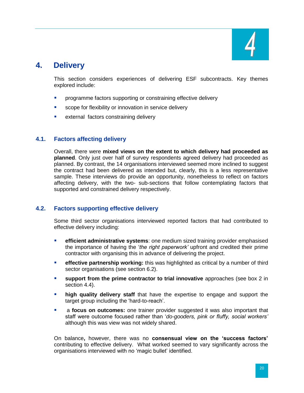

# <span id="page-25-0"></span>**4. Delivery**

This section considers experiences of delivering ESF subcontracts. Key themes explored include:

- **PEDITE:** programme factors supporting or constraining effective delivery
- scope for flexibility or innovation in service delivery
- **EXTERGER 12 EXTERGER 12 EXTERGER** EXTERNAL EXTERNAL **EXTERNAL EXTERNAL EXTERNAL EXTERNAL EXTERNAL EXTERNAL EXTERNAL EXTERNAL EXTERNAL EXTERNAL EXTERNAL EXTERNAL EXTERNAL EXTERNAL EXTERNAL EXTERNAL EXTERNAL EXTERNAL EXTERN**

## <span id="page-25-1"></span>**4.1. Factors affecting delivery**

Overall, there were **mixed views on the extent to which delivery had proceeded as planned**. Only just over half of survey respondents agreed delivery had proceeded as planned. By contrast, the 14 organisations interviewed seemed more inclined to suggest the contract had been delivered as intended but, clearly, this is a less representative sample. These interviews do provide an opportunity, nonetheless to reflect on factors affecting delivery, with the two- sub-sections that follow contemplating factors that supported and constrained delivery respectively.

## <span id="page-25-2"></span>**4.2. Factors supporting effective delivery**

Some third sector organisations interviewed reported factors that had contributed to effective delivery including:

- **EXEDEE FIRE 2018 12 and 13 and 13 and 13 and 13 and 13 and 14 and 15 and 15 and 16 and 16 and 16 and 16 and 16 and 16 and 16 and 16 and 16 and 16 and 16 and 16 and 16 and 16 and 16 and 16 and 16 and 16 and 16 and 16 and 1** the importance of having the '*the right paperwork'* upfront and credited their prime contractor with organising this in advance of delivering the project.
- **EXTERGIVE 2018 IN EXECT FEET STATE:** this was highlighted as critical by a number of third sector organisations (see section 6.2).
- **support from the prime contractor to trial innovative** approaches (see box 2 in section 4.4).
- **high quality delivery staff** that have the expertise to engage and support the target group including the 'hard-to-reach'.
- a **focus on outcomes:** one trainer provider suggested it was also important that staff were outcome focused rather than '*do-gooders, pink or fluffy, social workers'* although this was view was not widely shared.

On balance**,** however, there was no **consensual view on the 'success factors'**  contributing to effective delivery.What worked seemed to vary significantly across the organisations interviewed with no 'magic bullet' identified.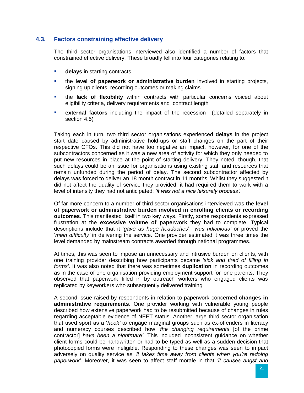#### <span id="page-26-0"></span>**4.3. Factors constraining effective delivery**

The third sector organisations interviewed also identified a number of factors that constrained effective delivery. These broadly fell into four categories relating to:

- **delays** in starting contracts
- the **level of paperwork or administrative burden** involved in starting projects, signing up clients, recording outcomes or making claims
- the **lack of flexibility** within contracts with particular concerns voiced about eligibility criteria, delivery requirements and contract length
- **external factors** including the impact of the recession (detailed separately in section 4.5)

Taking each in turn, two third sector organisations experienced **delays** in the project start date caused by administrative hold-ups or staff changes on the part of their respective CFOs. This did not have too negative an impact, however, for one of the subcontractors concerned as it was a new area of activity for which they only needed to put new resources in place at the point of starting delivery. They noted, though, that such delays could be an issue for organisations using existing staff and resources that remain unfunded during the period of delay. The second subcontractor affected by delays was forced to deliver an 18 month contract in 11 months. Whilst they suggested it did not affect the quality of service they provided, it had required them to work with a level of intensity they had not anticipated: *'it was not a nice leisurely process'.*

Of far more concern to a number of third sector organisations interviewed was **the level of paperwork or administrative burden involved in enrolling clients or recording outcomes**. This manifested itself in two key ways. Firstly, some respondents expressed frustration at the **excessive volume of paperwork** they had to complete. Typical descriptions include that it '*gave us huge headaches*', '*was ridiculous'* or proved the '*main difficulty'* in delivering the service. One provider estimated it was three times the level demanded by mainstream contracts awarded through national programmes.

At times, this was seen to impose an unnecessary and intrusive burden on clients, with one training provider describing how participants became *'sick and tired of filling in forms'*. It was also noted that there was sometimes **duplication** in recording outcomes as in the case of one organisation providing employment support for lone parents. They observed that paperwork filled in by outreach workers who engaged clients was replicated by keyworkers who subsequently delivered training

A second issue raised by respondents in relation to paperwork concerned **changes in administrative requirements**. One provider working with vulnerable young people described how extensive paperwork had to be resubmitted because of changes in rules regarding acceptable evidence of NEET status. Another large third sector organisation that used sport as a '*hook'* to engage marginal groups such as ex-offenders in literacy and numeracy courses described how *'the changing requirements* [of the prime contractor] *have been a nightmare'*. This included inconsistent guidance on whether client forms could be handwritten or had to be typed as well as a sudden decision that photocopied forms were ineligible. Responding to these changes was seen to impact adversely on quality service as *'it takes time away from clients when you're redoing paperwork'.* Moreover, it was seen to affect staff morale in that *'it causes angst and*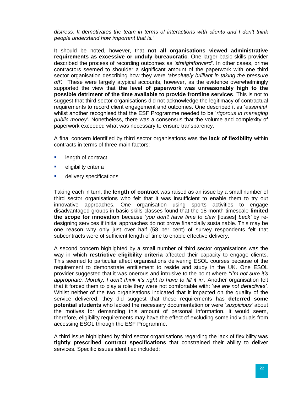*distress. It demotivates the team in terms of interactions with clients and I don't think people understand how important that is.'*

It should be noted, however, that **not all organisations viewed administrative requirements as excessive or unduly bureaucratic**. One larger basic skills provider described the process of recording outcomes as *'straightforward'.* In other cases, prime contractors seemed to shoulder a significant amount of the paperwork with one third sector organisation describing how they were *'absolutely brilliant in taking the pressure off'.* These were largely atypical accounts, however, as the evidence overwhelmingly supported the view that **the level of paperwork was unreasonably high to the possible detriment of the time available to provide frontline services**. This is not to suggest that third sector organisations did not acknowledge the legitimacy of contractual requirements to record client engagement and outcomes. One described it as '*essential'* whilst another recognised that the ESF Programme needed to be '*rigorous in managing public money'*. Nonetheless, there was a consensus that the volume and complexity of paperwork exceeded what was necessary to ensure transparency.

A final concern identified by third sector organisations was the **lack of flexibility** within contracts in terms of three main factors:

- **Length of contract**
- **eligibility criteria**
- **delivery specifications**

Taking each in turn, the **length of contract** was raised as an issue by a small number of third sector organisations who felt that it was insufficient to enable them to try out innovative approaches. One organisation using sports activities to engage disadvantaged groups in basic skills classes found that the 18 month timescale **limited the scope for innovation** because '*you don't have time to claw* [losses] *back'* by redesigning services if initial approaches do not prove financially sustainable. This may be one reason why only just over half (58 per cent) of survey respondents felt that subcontracts were of sufficient length of time to enable effective delivery.

A second concern highlighted by a small number of third sector organisations was the way in which **restrictive eligibility criteria** affected their capacity to engage clients. This seemed to particular affect organisations delivering ESOL courses because of the requirement to demonstrate entitlement to reside and study in the UK. One ESOL provider suggested that it was onerous and intrusive to the point where *''I'm not sure it's appropriate. Morally, I don't think it's right to have to fill it in'*. Another organisation felt that it forced them to play a role they were not comfortable with: '*we are not detectives'.* Whilst neither of the two organisations indicated that it impacted on the quality of the service delivered, they did suggest that these requirements has **deterred some potential students** who lacked the necessary documentation or were '*suspicious'* about the motives for demanding this amount of personal information. It would seem, therefore, eligibility requirements may have the effect of excluding some individuals from accessing ESOL through the ESF Programme.

A third issue highlighted by third sector organisations regarding the lack of flexibility was **tightly prescribed contract specifications** that constrained their ability to deliver services. Specific issues identified included: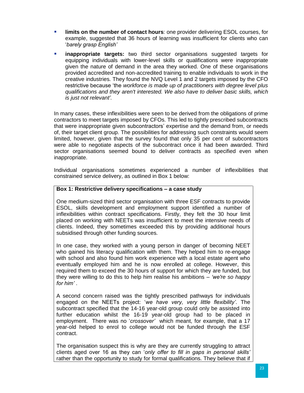- **limits on the number of contact hours:** one provider delivering ESOL courses, for example, suggested that 36 hours of learning was insufficient for clients who can '*barely grasp English'*
- **inappropriate targets:** two third sector organisations suggested targets for equipping individuals with lower-level skills or qualifications were inappropriate given the nature of demand in the area they worked. One of these organisations provided accredited and non-accredited training to enable individuals to work in the creative industries. They found the NVQ Level 1 and 2 targets imposed by the CFO restrictive because 'the *workforce is made up of practitioners with degree level plus qualifications and they aren't interested. We also have to deliver basic skills, which is just not relevant'.*

In many cases, these inflexibilities were seen to be derived from the obligations of prime contractors to meet targets imposed by CFOs. This led to tightly prescribed subcontracts that were inappropriate given subcontractors' expertise and the demand from, or needs of, their target client group. The possibilities for addressing such constraints would seem limited, however, given that the survey found that only 35 per cent of subcontractors were able to negotiate aspects of the subcontract once it had been awarded. Third sector organisations seemed bound to deliver contracts as specified even when inappropriate.

Individual organisations sometimes experienced a number of inflexibilities that constrained service delivery, as outlined in Box 1 below:

#### **Box 1: Restrictive delivery specifications – a case study**

One medium-sized third sector organisation with three ESF contracts to provide ESOL, skills development and employment support identified a number of inflexibilities within contract specifications. Firstly, they felt the 30 hour limit placed on working with NEETs was insufficient to meet the intensive needs of clients. Indeed, they sometimes exceeded this by providing additional hours subsidised through other funding sources.

In one case, they worked with a young person in danger of becoming NEET who gained his literacy qualification with them. They helped him to re-engage with school and also found him work experience with a local estate agent who eventually employed him and he is now enrolled at college. However, this required them to exceed the 30 hours of support for which they are funded, but they were willing to do this to help him realise his ambitions – *'we're so happy for him'* .

A second concern raised was the tightly prescribed pathways for individuals engaged on the NEETs project: '*we have very, very little flexibility'*. The subcontract specified that the 14-16 year-old group could only be assisted into further education whilst the 16-19 year-old group had to be placed in employment. There was no '*crossover'* which meant, for example, that a 17 year-old helped to enrol to college would not be funded through the ESF contract.

The organisation suspect this is why are they are currently struggling to attract clients aged over 16 as they can '*only offer to fill in gaps in personal skills'* rather than the opportunity to study for formal qualifications. They believe that if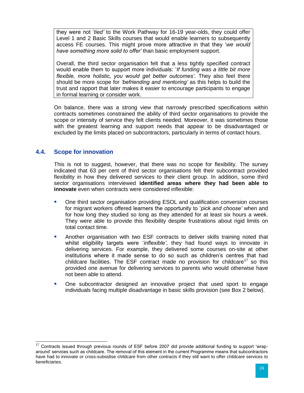they were not '*tied'* to the Work Pathway for 16-19 year-olds, they could offer Level 1 and 2 Basic Skills courses that would enable learners to subsequently access FE courses. This might prove more attractive in that they '*we would have something more solid to offer'* than basic employment support.

Overall, the third sector organisation felt that a less tightly specified contract would enable them to support more individuals: '*If funding was a little bit more flexible, more holistic, you would get better outcomes'*. They also feel there should be more scope for *'befriending and mentoring'* as this helps to build the trust and rapport that later makes it easier to encourage participants to engage in formal learning or consider work.

On balance, there was a strong view that narrowly prescribed specifications within contracts sometimes constrained the ability of third sector organisations to provide the scope or intensity of service they felt clients needed. Moreover, it was sometimes those with the greatest learning and support needs that appear to be disadvantaged or excluded by the limits placed on subcontractors, particularly in terms of contact hours.

## <span id="page-29-0"></span>**4.4. Scope for innovation**

 $\overline{a}$ 

This is not to suggest, however, that there was no scope for flexibility. The survey indicated that 63 per cent of third sector organisations felt their subcontract provided flexibility in how they delivered services to their client group. In addition, some third sector organisations interviewed **identified areas where they had been able to innovate** even when contracts were considered inflexible:

- One third sector organisation providing ESOL and qualification conversion courses for migrant workers offered learners the opportunity to '*pick and choose'* when and for how long they studied so long as they attended for at least six hours a week. They were able to provide this flexibility despite frustrations about rigid limits on total contact time.
- Another organisation with two ESF contracts to deliver skills training noted that whilst eligibility targets were '*inflexible'*, they had found ways to innovate in delivering services. For example, they delivered some courses on-site at other institutions where it made sense to do so such as children's centres that had childcare facilities. The ESF contract made no provision for childcare<sup>17</sup> so this provided one avenue for delivering services to parents who would otherwise have not been able to attend.
- One subcontractor designed an innovative project that used sport to engage individuals facing multiple disadvantage in basic skills provision (see Box 2 below).

 $17$  Contracts issued through previous rounds of ESF before 2007 did provide additional funding to support 'wraparound' services such as childcare. The removal of this element in the current Programme means that subcontractors have had to innovate or cross-subsidise childcare from other contracts if they still want to offer childcare services to beneficiaries.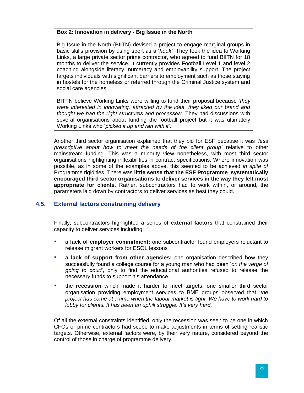#### **Box 2: Innovation in delivery - Big Issue in the North**

Big Issue in the North (BIITN) devised a project to engage marginal groups in basic skills provision by using sport as a '*hook'.* They took the idea to Working Links, a large private sector prime contractor, who agreed to fund BIITN for 18 months to deliver the service. It currently provides Football Level 1 and level 2 coaching alongside literacy, numeracy and employability support. The project targets individuals with significant barriers to employment such as those staying in hostels for the homeless or referred through the Criminal Justice system and social care agencies.

BITTN believe Working Links were willing to fund their proposal because *'they were interested in innovating, attracted by the idea, they liked our brand and thought we had the right structures and processes'*. They had discussions with several organisations about funding the football project but it was ultimately Working Links who '*picked it up and ran with it'*.

Another third sector organisation explained that they bid for ESF because it was *'less prescriptive about how to meet the needs of the client group'* relative to other mainstream funding. This was a minority view nonetheless, with most third sector organisations highlighting inflexibilities in contract specifications. Where innovation was possible, as in some of the examples above, this seemed to be achieved *in spite of*  Programme rigidities. There was **little sense that the ESF Programme systematically encouraged third sector organisations to deliver services in the way they felt most appropriate for clients.** Rather, subcontractors had to work within, or around, the parameters laid down by contractors to deliver services as best they could.

## <span id="page-30-0"></span>**4.5. External factors constraining delivery**

Finally, subcontractors highlighted a series of **external factors** that constrained their capacity to deliver services including:

- **a lack of employer commitment:** one subcontractor found employers reluctant to release migrant workers for ESOL lessons .
- **a lack of support from other agencies:** one organisation described how they successfully found a college course for a young man who had been '*on the verge of going to court'*, only to find the educational authorities refused to release the necessary funds to support his attendance.
- the **recession** which made it harder to meet targets: one smaller third sector organisation providing employment services to BME groups observed that '*the project has come at a time when the labour market is tight. We have to work hard to lobby for clients. It has been an uphill struggle. It's very hard.'*

Of all the external constraints identified, only the recession was seen to be one in which CFOs or prime contractors had scope to make adjustments in terms of setting realistic targets. Otherwise, external factors were, by their very nature, considered beyond the control of those in charge of programme delivery.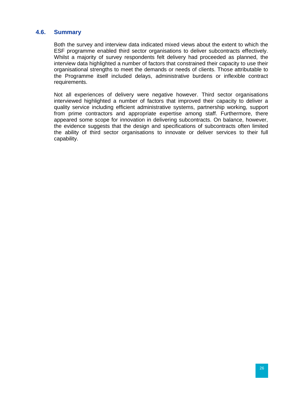#### <span id="page-31-0"></span>**4.6. Summary**

Both the survey and interview data indicated mixed views about the extent to which the ESF programme enabled third sector organisations to deliver subcontracts effectively. Whilst a majority of survey respondents felt delivery had proceeded as planned, the interview data highlighted a number of factors that constrained their capacity to use their organisational strengths to meet the demands or needs of clients. Those attributable to the Programme itself included delays, administrative burdens or inflexible contract requirements.

Not all experiences of delivery were negative however. Third sector organisations interviewed highlighted a number of factors that improved their capacity to deliver a quality service including efficient administrative systems, partnership working, support from prime contractors and appropriate expertise among staff. Furthermore, there appeared some scope for innovation in delivering subcontracts. On balance, however, the evidence suggests that the design and specifications of subcontracts often limited the ability of third sector organisations to innovate or deliver services to their full capability.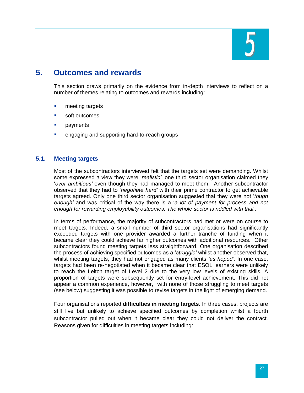

# <span id="page-32-0"></span>**5. Outcomes and rewards**

This section draws primarily on the evidence from in-depth interviews to reflect on a number of themes relating to outcomes and rewards including:

- **neeting targets**
- soft outcomes
- **payments**
- **E** engaging and supporting hard-to-reach groups

#### <span id="page-32-1"></span>**5.1. Meeting targets**

Most of the subcontractors interviewed felt that the targets set were demanding. Whilst some expressed a view they were '*realistic'*, one third sector organisation claimed they '*over ambitious'* even though they had managed to meet them. Another subcontractor observed that they had to '*negotiate hard'* with their prime contractor to get achievable targets agreed. Only one third sector organisation suggested that they were not '*tough enough'* and was critical of the way there is a '*a lot of payment for process and not enough for rewarding employability outcomes. The whole sector is riddled with that'*.

In terms of performance, the majority of subcontractors had met or were on course to meet targets. Indeed, a small number of third sector organisations had significantly exceeded targets with one provider awarded a further tranche of funding when it became clear they could achieve far higher outcomes with additional resources. Other subcontractors found meeting targets less straightforward. One organisation described the process of achieving specified outcomes as a '*struggle'* whilst another observed that, whilst meeting targets, they had not engaged as many clients *'as hoped'.* In one case, targets had been re-negotiated when it became clear that ESOL learners were unlikely to reach the Leitch target of Level 2 due to the very low levels of existing skills. A proportion of targets were subsequently set for entry-level achievement. This did not appear a common experience, however, with none of those struggling to meet targets (see below) suggesting it was possible to revise targets in the light of emerging demand.

Four organisations reported **difficulties in meeting targets.** In three cases, projects are still live but unlikely to achieve specified outcomes by completion whilst a fourth subcontractor pulled out when it became clear they could not deliver the contract. Reasons given for difficulties in meeting targets including: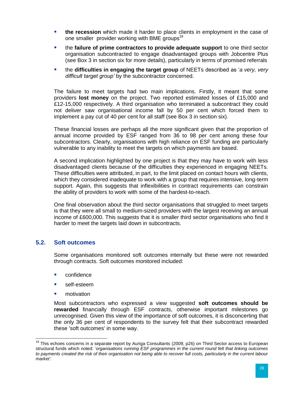- **the recession** which made it harder to place clients in employment in the case of one smaller provider working with BME groups<sup>18</sup>
- the **failure of prime contractors to provide adequate support** to one third sector organisation subcontracted to engage disadvantaged groups with Jobcentre Plus (see Box 3 in section six for more details), particularly in terms of promised referrals
- the **difficulties in engaging the target group** of NEETs described as '*a very, very difficult target group'* by the subcontractor concerned.

The failure to meet targets had two main implications. Firstly, it meant that some providers **lost money** on the project. Two reported estimated losses of £15,000 and £12-15,000 respectively. A third organisation who terminated a subcontract they could not deliver saw organisational income fall by 50 per cent which forced them to implement a pay cut of 40 per cent for all staff (see Box 3 in section six).

These financial losses are perhaps all the more significant given that the proportion of annual income provided by ESF ranged from 36 to 98 per cent among these four subcontractors. Clearly, organisations with high reliance on ESF funding are particularly vulnerable to any inability to meet the targets on which payments are based.

A second implication highlighted by one project is that they may have to work with less disadvantaged clients because of the difficulties they experienced in engaging NEETs. These difficulties were attributed, in part, to the limit placed on contact hours with clients, which they considered inadequate to work with a group that requires intensive, long-term support. Again, this suggests that inflexibilities in contract requirements can constrain the ability of providers to work with some of the hardest-to-reach.

One final observation about the third sector organisations that struggled to meet targets is that they were all small to medium-sized providers with the largest receiving an annual income of £600,000. This suggests that it is smaller third sector organisations who find it harder to meet the targets laid down in subcontracts.

## <span id="page-33-0"></span>**5.2. Soft outcomes**

Some organisations monitored soft outcomes internally but these were not rewarded through contracts. Soft outcomes monitored included:

- confidence
- self-esteem
- **notivation**

 $\overline{a}$ 

Most subcontractors who expressed a view suggested **soft outcomes should be rewarded** financially through ESF contracts, otherwise important milestones go unrecognised. Given this view of the importance of soft outcomes, it is disconcerting that the only 36 per cent of respondents to the survey felt that their subcontract rewarded these 'soft outcomes' in some way.

<sup>&</sup>lt;sup>18</sup> This echoes concerns in a separate report by Auriga Consultants (2009, p26) on Third Sector access to European structural funds which noted: *'organisations running ESF programmes in the current round felt that linking outcomes to payments created the risk of their organisation not being able to recover full costs, particularly in the current labour market'.*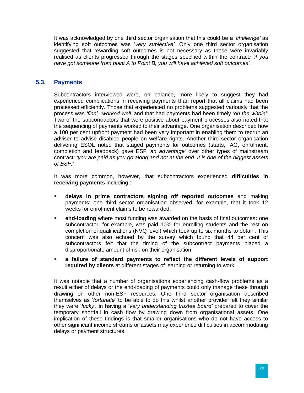It was acknowledged by one third sector organisation that this could be a '*challenge'* as identifying soft outcomes was '*very subjective'*. Only one third sector organisation suggested that rewarding soft outcomes is not necessary as these were invariably realised as clients progressed through the stages specified within the contract*: 'if you have got someone from point A to Point B, you will have achieved soft outcomes'.*

#### <span id="page-34-0"></span>**5.3. Payments**

Subcontractors interviewed were, on balance, more likely to suggest they had experienced complications in receiving payments than report that all claims had been processed efficiently. Those that experienced no problems suggested variously that the process was *'fine', 'worked well'* and that had payments had been timely *'on the whole'.* Two of the subcontractors that were positive about payment processes also noted that the sequencing of payments worked to their advantage. One organisation described how a 100 per cent upfront payment had been very important in enabling them to recruit an adviser to advise disabled people on welfare rights. Another third sector organisation delivering ESOL noted that staged payments for outcomes (starts, IAG, enrolment, completion and feedback) gave ESF *'an advantage'* over other types of mainstream contract: *'you are paid as you go along and not at the end. It is one of the biggest assets of ESF.'*

It was more common, however, that subcontractors experienced **difficulties in receiving payments** including :

- **delays in prime contractors signing off reported outcomes** and making payments: one third sector organisation observed, for example, that it took 12 weeks for enrolment claims to be rewarded.
- **end-loading** where most funding was awarded on the basis of final outcomes**:** one subcontractor, for example, was paid 10% for enrolling students and the rest on completion of qualifications (NVQ level) which took up to six months to obtain. This concern was also echoed by the survey which found that 44 per cent of subcontractors felt that the timing of the subcontract payments placed a disproportionate amount of risk on their organisation.
- **a failure of standard payments to reflect the different levels of support required by clients** at different stages of learning or returning to work.

It was notable that a number of organisations experiencing cash-flow problems as a result either of delays or the end-loading of payments could only manage these through drawing on other non-ESF resources. One third sector organisation described themselves as '*fortunate'* to be able to do this whilst another provider felt they similar they were '*lucky'*, in having a '*very understanding trustee board'* prepared to cover the temporary shortfall in cash flow by drawing down from organisational assets. One implication of these findings is that smaller organisations who do not have access to other significant income streams or assets may experience difficulties in accommodating delays or payment structures.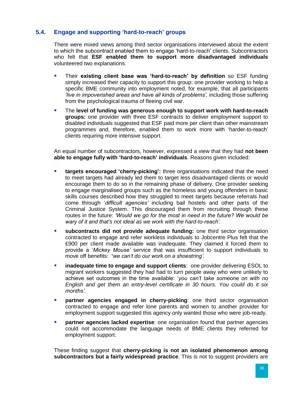# <span id="page-35-0"></span>**5.4. Engage and supporting 'hard-to-reach' groups**

There were mixed views among third sector organisations interviewed about the extent to which the subcontract enabled them to engage 'hard-to-reach' clients. Subcontractors who felt that **ESF enabled them to support more disadvantaged individuals**  volunteered two explanations:

- Their **existing client base was 'hard-to-reach' by definition** so ESF funding simply increased their capacity to support this group: one provider working to help a specific BME community into employment noted, for example, that all participants *'live in impoverished areas and have all kinds of problems',* including those suffering from the psychological trauma of fleeing civil war.
- The **level of funding was generous enough to support work with hard-to-reach groups:** one provider with three ESF contracts to deliver employment support to disabled individuals suggested that ESF paid more per client than other mainstream programmes and, therefore, enabled them to work more with 'harder-to-reach' clients requiring more intensive support.

An equal number of subcontractors, however, expressed a view that they had **not been able to engage fully with 'hard-to-reach' individuals**. Reasons given included:

- **targets encouraged 'cherry-picking':** three organisations indicated that the need to meet targets had already led them to target less disadvantaged clients or would encourage them to do so in the remaining phase of delivery. One provider seeking to engage marginalised groups such as the homeless and young offenders in basic skills courses described how they struggled to meet targets because referrals had come through '*difficult agencies'* including bail hostels and other parts of the Criminal Justice System. This discouraged them from recruiting through these routes in the future: *'Would we go for the most in need in the future? We would be wary of it and that's not ideal as we work with the hard-to-reach'.*
- **subcontracts did not provide adequate funding:** one third sector organisation contracted to engage and refer workless individuals to Jobcentre Plus felt that the £900 per client made available was inadequate. They claimed it forced them to provide a '*Mickey Mouse'* service that was insufficient to support individuals to move off benefits: **'***we can't do our work on a shoestring'.*
- *inadequate time to engage and support clients: one provider delivering ESOL to* migrant workers suggested they had had to turn people away who were unlikely to achieve set outcomes in the time available: '*you can't take someone on with no English and get them an entry-level certificate in 30 hours. You could do it six months'.*
- **Partner agencies engaged in cherry-picking**: one third sector organisation contracted to engage and refer lone parents and women to another provider for employment support suggested this agency only wanted those who were job-ready.
- **Partner agencies lacked expertise**: one organisation found that partner agencies could not accommodate the language needs of BME clients they referred for employment support.

These finding suggest that **cherry-picking is not an isolated phenomenon among subcontractors but a fairly widespread practice**. This is not to suggest providers are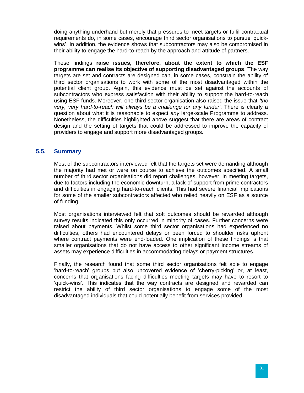doing anything underhand but merely that pressures to meet targets or fulfil contractual requirements do, in some cases, encourage third sector organisations to pursue 'quickwins'. In addition, the evidence shows that subcontractors may also be compromised in their ability to engage the hard-to-reach by the approach and attitude of partners.

These findings **raise issues, therefore, about the extent to which the ESF programme can realise its objective of supporting disadvantaged groups**. The way targets are set and contracts are designed can, in some cases, constrain the ability of third sector organisations to work with some of the most disadvantaged within the potential client group. Again, this evidence must be set against the accounts of subcontractors who express satisfaction with their ability to support the hard-to-reach using ESF funds. Moreover, one third sector organisation also raised the issue that *'the very, very hard-to-reach will always be a challenge for any funder'*. There is clearly a question about what it is reasonable to expect *any* large-scale Programme to address. Nonetheless, the difficulties highlighted above suggest that there are areas of contract design and the setting of targets that could be addressed to improve the capacity of providers to engage and support more disadvantaged groups.

#### <span id="page-36-0"></span>**5.5. Summary**

Most of the subcontractors interviewed felt that the targets set were demanding although the majority had met or were on course to achieve the outcomes specified. A small number of third sector organisations did report challenges, however, in meeting targets, due to factors including the economic downturn, a lack of support from prime contractors and difficulties in engaging hard-to-reach clients. This had severe financial implications for some of the smaller subcontractors affected who relied heavily on ESF as a source of funding.

Most organisations interviewed felt that soft outcomes should be rewarded although survey results indicated this only occurred in minority of cases. Further concerns were raised about payments. Whilst some third sector organisations had experienced no difficulties, others had encountered delays or been forced to shoulder risks upfront where contract payments were end-loaded. One implication of these findings is that smaller organisations that do not have access to other significant income streams of assets may experience difficulties in accommodating delays or payment structures.

Finally, the research found that some third sector organisations felt able to engage 'hard-to-reach' groups but also uncovered evidence of 'cherry-picking' or, at least, concerns that organisations facing difficulties meeting targets may have to resort to 'quick-wins'. This indicates that the way contracts are designed and rewarded can restrict the ability of third sector organisations to engage some of the most disadvantaged individuals that could potentially benefit from services provided.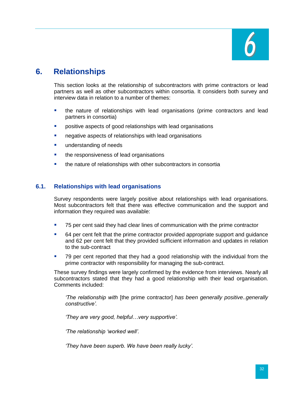

# <span id="page-37-0"></span>**6. Relationships**

This section looks at the relationship of subcontractors with prime contractors or lead partners as well as other subcontractors within consortia. It considers both survey and interview data in relation to a number of themes:

- the nature of relationships with lead organisations (prime contractors and lead partners in consortia)
- **Part of sepects of good relationships with lead organisations**
- **negative aspects of relationships with lead organisations**
- **understanding of needs**
- **the responsiveness of lead organisations**
- the nature of relationships with other subcontractors in consortia

#### <span id="page-37-1"></span>**6.1. Relationships with lead organisations**

Survey respondents were largely positive about relationships with lead organisations. Most subcontractors felt that there was effective communication and the support and information they required was available:

- 75 per cent said they had clear lines of communication with the prime contractor
- 64 per cent felt that the prime contractor provided appropriate support and guidance and 62 per cent felt that they provided sufficient information and updates in relation to the sub-contract
- 79 per cent reported that they had a good relationship with the individual from the prime contractor with responsibility for managing the sub-contract.

These survey findings were largely confirmed by the evidence from interviews. Nearly all subcontractors stated that they had a good relationship with their lead organisation. Comments included:

*'The relationship with* [the prime contractor] *has been generally positive..generally constructive'.*

*'They are very good, helpful…very supportive'.*

*'The relationship 'worked well'.*

*'They have been superb. We have been really lucky'.*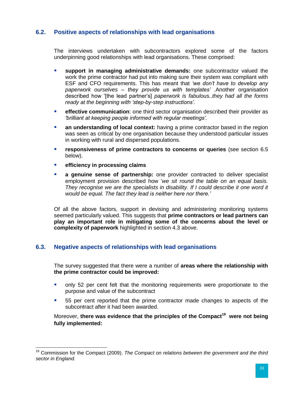# <span id="page-38-0"></span>**6.2. Positive aspects of relationships with lead organisations**

The interviews undertaken with subcontractors explored some of the factors underpinning good relationships with lead organisations. These comprised:

- **support in managing administrative demands:** one subcontractor valued the work the prime contractor had put into making sure their system was compliant with ESF and CFO requirements. This has meant that *'we don't have to develop any paperwork ourselves – they provide us with templates'* .Another organisation described how '[the lead partner's] *paperwork is fabulous..they had all the forms ready at the beginning with 'step-by-step instructions'.*
- **effective communication**: one third sector organisation described their provider as *'brilliant at keeping people informed with regular meetings'.*
- **an understanding of local context:** having a prime contractor based in the region was seen as critical by one organisation because they understood particular issues in working with rural and dispersed populations.
- **responsiveness of prime contractors to concerns or queries** (see section 6.5) below).
- **efficiency in processing claims**

 $\overline{\phantom{a}}$ 

 **a genuine sense of partnership:** one provider contracted to deliver specialist employment provision described how '*we sit round the table on an equal basis. They recognise we are the specialists in disability. If I could describe it one word it would be equal. The fact they lead is neither here nor there.'*

Of all the above factors, support in devising and administering monitoring systems seemed particularly valued. This suggests that **prime contractors or lead partners can play an important role in mitigating some of the concerns about the level or complexity of paperwork** highlighted in section 4.3 above.

## <span id="page-38-1"></span>**6.3. Negative aspects of relationships with lead organisations**

The survey suggested that there were a number of **areas where the relationship with the prime contractor could be improved:**

- only 52 per cent felt that the monitoring requirements were proportionate to the purpose and value of the subcontract
- 55 per cent reported that the prime contractor made changes to aspects of the subcontract after it had been awarded.

Moreover, **there was evidence that the principles of the Compact<sup>19</sup> were not being fully implemented:**

<sup>&</sup>lt;sup>19</sup> Commission for the Compact (2009). *The Compact on relations between the government and the third sector in England.*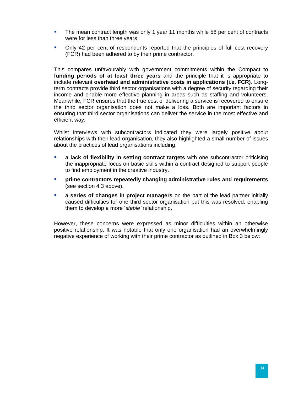- **The mean contract length was only 1 year 11 months while 58 per cent of contracts** were for less than three years.
- Only 42 per cent of respondents reported that the principles of full cost recovery (FCR) had been adhered to by their prime contractor.

This compares unfavourably with government commitments within the Compact to **funding periods of at least three years** and the principle that it is appropriate to include relevant **overhead and administrative costs in applications (i.e. FCR)**. Longterm contracts provide third sector organisations with a degree of security regarding their income and enable more effective planning in areas such as staffing and volunteers. Meanwhile, FCR ensures that the true cost of delivering a service is recovered to ensure the third sector organisation does not make a loss. Both are important factors in ensuring that third sector organisations can deliver the service in the most effective and efficient way.

Whilst interviews with subcontractors indicated they were largely positive about relationships with their lead organisation, they also highlighted a small number of issues about the practices of lead organisations including:

- **a lack of flexibility in setting contract targets** with one subcontractor criticising the inappropriate focus on basic skills within a contract designed to support people to find employment in the creative industry.
- **prime contractors repeatedly changing administrative rules and requirements** (see section 4.3 above).
- **a series of changes in project managers** on the part of the lead partner initially caused difficulties for one third sector organisation but this was resolved, enabling them to develop a more '*stable'* relationship.

However, these concerns were expressed as minor difficulties within an otherwise positive relationship. It was notable that only one organisation had an overwhelmingly negative experience of working with their prime contractor as outlined in Box 3 below: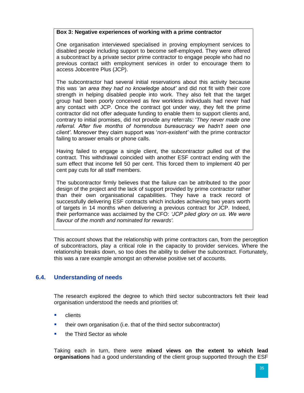#### **Box 3: Negative experiences of working with a prime contractor**

One organisation interviewed specialised in proving employment services to disabled people including support to become self-employed. They were offered a subcontract by a private sector prime contractor to engage people who had no previous contact with employment services in order to encourage them to access Jobcentre Plus (JCP).

The subcontractor had several initial reservations about this activity because this was *'an area they had no knowledge about'* and did not fit with their core strength in helping disabled people into work. They also felt that the target group had been poorly conceived as few workless individuals had never had any contact with JCP. Once the contract got under way, they felt the prime contractor did not offer adequate funding to enable them to support clients and, contrary to initial promises, did not provide any referrals: '*They never made one referral. After five months of horrendous bureaucracy we hadn't seen one client'*. Moreover they claim support was '*non-existent'* with the prime contractor failing to answer emails or phone calls.

Having failed to engage a single client, the subcontractor pulled out of the contract. This withdrawal coincided with another ESF contract ending with the sum effect that income fell 50 per cent. This forced them to implement 40 per cent pay cuts for all staff members.

The subcontractor firmly believes that the failure can be attributed to the poor design of the project and the lack of support provided by prime contractor rather than their own organisational capabilities. They have a track record of successfully delivering ESF contracts which includes achieving two years worth of targets in 14 months when delivering a previous contract for JCP. Indeed, their performance was acclaimed by the CFO: *'JCP piled glory on us. We were flavour of the month and nominated for rewards'.* 

This account shows that the relationship with prime contractors can, from the perception of subcontractors, play a critical role in the capacity to provider services. Where the relationship breaks down, so too does the ability to deliver the subcontract. Fortunately, this was a rare example amongst an otherwise positive set of accounts.

## <span id="page-40-0"></span>**6.4. Understanding of needs**

The research explored the degree to which third sector subcontractors felt their lead organisation understood the needs and priorities of:

- **E** clients
- **their own organisation (i.e. that of the third sector subcontractor)**
- $\blacksquare$  the Third Sector as whole

Taking each in turn, there were **mixed views on the extent to which lead organisations** had a good understanding of the client group supported through the ESF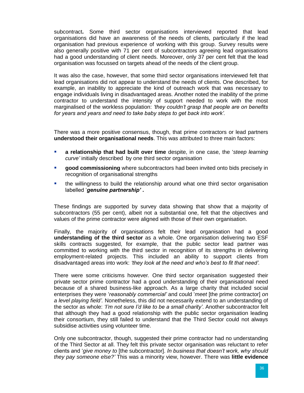subcontract**.** Some third sector organisations interviewed reported that lead organisations did have an awareness of the needs of clients, particularly if the lead organisation had previous experience of working with this group. Survey results were also generally positive with 71 per cent of subcontractors agreeing lead organisations had a good understanding of client needs. Moreover, only 37 per cent felt that the lead organisation was focussed on targets ahead of the needs of the client group.

It was also the case, however, that some third sector organisations interviewed felt that lead organisations did not appear to understand the needs of clients. One described, for example, an inability to appreciate the kind of outreach work that was necessary to engage individuals living in disadvantaged areas. Another noted the inability of the prime contractor to understand the intensity of support needed to work with the most marginalised of the workless population: *'they couldn't grasp that people are on benefits for years and years and need to take baby steps to get back into work'.*

There was a more positive consensus, though, that prime contractors or lead partners **understood their organisational needs**. This was attributed to three main factors:

- **a relationship that had built over time** despite, in one case, the '*steep learning curve'* initially described by one third sector organisation
- **good commissioning** where subcontractors had been invited onto bids precisely in recognition of organisational strengths
- the willingness to build the relationship around what one third sector organisation labelled '*genuine partnership'* **.**

These findings are supported by survey data showing that show that a majority of subcontractors (55 per cent), albeit not a substantial one, felt that the objectives and values of the prime contractor were aligned with those of their own organisation.

Finally*,* the majority of organisations felt their lead organisation had a good **understanding of the third sector** as a whole. One organisation delivering two ESF skills contracts suggested, for example, that the public sector lead partner was committed to working with the third sector in recognition of its strengths in delivering employment-related projects. This included an ability to support clients from disadvantaged areas into work: *'they look at the need and who's best to fit that need'.*

There were some criticisms however*.* One third sector organisation suggested their private sector prime contractor had a good understanding of their organisational need because of a shared business-like approach. As a large charity that included social enterprises they were '*reasonably commercial'* and could '*meet* [the prime contractor] *on a level playing field'.* Nonetheless, this did not necessarily extend to an understanding of the sector as whole: *'I'm not sure I'd like to be a small charity'*. Another subcontractor felt that although they had a good relationship with the public sector organisation leading their consortium, they still failed to understand that the Third Sector could not always subsidise activities using volunteer time.

Only one subcontractor, though, suggested their prime contractor had no understanding of the Third Sector at all. They felt this private sector organisation was reluctant to refer clients and '*give money to* [the subcontractor]. *In business that doesn't work, why should they pay someone else?'* This was a minority view, however. There was **little evidence**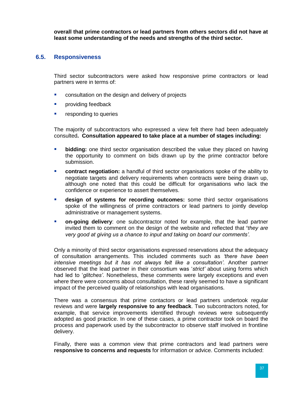**overall that prime contractors or lead partners from others sectors did not have at least some understanding of the needs and strengths of the third sector.**

#### <span id="page-42-0"></span>**6.5. Responsiveness**

Third sector subcontractors were asked how responsive prime contractors or lead partners were in terms of:

- **EXECONSULTERIGHT CONSULTATION CONSULTATION** consultation on the design and delivery of projects
- **Providing feedback**
- **EXECUTE:** responding to queries

The majority of subcontractors who expressed a view felt there had been adequately consulted**. Consultation appeared to take place at a number of stages including:**

- **bidding:** one third sector organisation described the value they placed on having the opportunity to comment on bids drawn up by the prime contractor before submission.
- **Contract negotiation:** a handful of third sector organisations spoke of the ability to negotiate targets and delivery requirements when contracts were being drawn up, although one noted that this could be difficult for organisations who lack the confidence or experience to assert themselves.
- **design of systems for recording outcomes:** some third sector organisations spoke of the willingness of prime contractors or lead partners to jointly develop administrative or management systems.
- **on-going delivery**: one subcontractor noted for example, that the lead partner invited them to comment on the design of the website and reflected that **'***they are very good at giving us a chance to input and taking on board our comments'.*

Only a minority of third sector organisations expressed reservations about the adequacy of consultation arrangements. This included comments such as *'there have been intensive meetings but it has not always felt like a consultation'.* Another partner observed that the lead partner in their consortium was '*strict'* about using forms which had led to '*glitches'*. Nonetheless, these comments were largely exceptions and even where there were concerns about consultation, these rarely seemed to have a significant impact of the perceived quality of relationships with lead organisations.

There was a consensus that prime contactors or lead partners undertook regular reviews and were **largely responsive to any feedback**. Two subcontractors noted, for example, that service improvements identified through reviews were subsequently adopted as good practice. In one of these cases, a prime contractor took on board the process and paperwork used by the subcontractor to observe staff involved in frontline delivery.

Finally, there was a common view that prime contractors and lead partners were **responsive to concerns and requests** for information or advice. Comments included: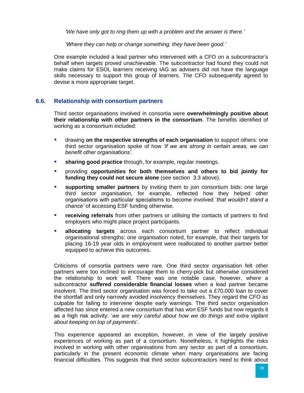*'We have only got to ring them up with a problem and the answer is there.'*

*'Where they can help or change something, they have been good.'*

One example included a lead partner who intervened with a CFO on a subcontractor's behalf when targets proved unachievable. The subcontractor had found they could not make claims for ESOL learners receiving IAG as advisers did not have the language skills necessary to support this group of learners. The CFO subsequently agreed to devise a more appropriate target.

#### <span id="page-43-0"></span>**6.6. Relationship with consortium partners**

Third sector organisations involved in consortia were **overwhelmingly positive about their relationship with other partners in the consortium**. The benefits identified of working as a consortium included:

- drawing **on the respective strengths of each organisation** to support others: one third sector organisation spoke of how *'if we are strong in certain areas, we can benefit other organisations'.*
- **sharing good practice** through, for example, regular meetings.
- providing **opportunities for both themselves and others to bid jointly for funding they could not secure alone** (see section 3.3 above).
- **supporting smaller partners** by inviting them to join consortium bids: one large third sector organisation, for example, reflected how they helped other organisations with particular specialisms to become involved '*that wouldn't stand a chance'* of accessing ESF funding otherwise.
- **receiving referrals** from other partners or utilising the contacts of partners to find employers who might place project participants.
- **allocating targets** across each consortium partner to reflect individual organisational strengths: one organisation noted, for example, that their targets for placing 16-19 year olds in employment were reallocated to another partner better equipped to achieve this outcomes.

Criticisms of consortia partners were rare. One third sector organisation felt other partners were too inclined to encourage them to cherry-pick but otherwise considered the relationship to work well. There was one notable case, however, where a subcontractor **suffered considerable financial losses** when a lead partner became insolvent. The third sector organisation was forced to take out a £70,000 loan to cover the shortfall and only narrowly avoided insolvency themselves. They regard the CFO as culpable for failing to intervene despite early warnings. The third sector organisation affected has since entered a new consortium that has won ESF funds but now regards it as a high risk activity: '*we are very careful about how we do things and extra vigilant about keeping on top of payments*'.

This experience appeared an exception, however, in view of the largely positive experiences of working as part of a consortium. Nonetheless, it highlights the risks involved in working with other organisations from any sector as part of a consortium, particularly in the present economic climate when many organisations are facing financial difficulties. This suggests that third sector subcontractors need to think about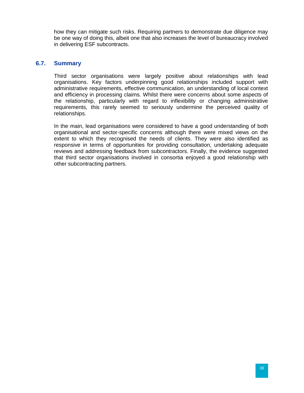how they can mitigate such risks. Requiring partners to demonstrate due diligence may be one way of doing this, albeit one that also increases the level of bureaucracy involved in delivering ESF subcontracts.

#### <span id="page-44-0"></span>**6.7. Summary**

Third sector organisations were largely positive about relationships with lead organisations. Key factors underpinning good relationships included support with administrative requirements, effective communication, an understanding of local context and efficiency in processing claims. Whilst there were concerns about some aspects of the relationship, particularly with regard to inflexibility or changing administrative requirements, this rarely seemed to seriously undermine the perceived quality of relationships.

In the main, lead organisations were considered to have a good understanding of both organisational and sector-specific concerns although there were mixed views on the extent to which they recognised the needs of clients. They were also identified as responsive in terms of opportunities for providing consultation, undertaking adequate reviews and addressing feedback from subcontractors. Finally, the evidence suggested that third sector organisations involved in consortia enjoyed a good relationship with other subcontracting partners.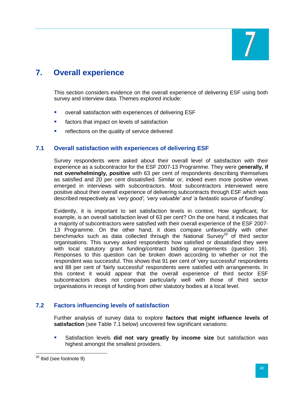

# <span id="page-45-0"></span>**7. Overall experience**

This section considers evidence on the overall experience of delivering ESF using both survey and interview data. Themes explored include:

- **Overall satisfaction with experiences of delivering ESF**
- **EXECT** factors that impact on levels of satisfaction
- **F** reflections on the quality of service delivered

#### <span id="page-45-1"></span>**7.1 Overall satisfaction with experiences of delivering ESF**

Survey respondents were asked about their overall level of satisfaction with their experience as a subcontractor for the ESF 2007-13 Programme. They were g**enerally, if not overwhelmingly, positive** with 63 per cent of respondents describing themselves as satisfied and 20 per cent dissatisfied. Similar or, indeed even more positive views emerged in interviews with subcontractors. Most subcontractors interviewed were positive about their overall experience of delivering subcontracts through ESF which was described respectively as '*very good', 'very valuable' and 'a fantastic source of funding'.*

Evidently, it is important to set satisfaction levels in context. How significant, for example, is an overall satisfaction level of 63 per cent? On the one hand, it indicates that a majority of subcontractors were satisfied with their overall experience of the ESF 2007- 13 Programme. On the other hand, it does compare unfavourably with other benchmarks such as data collected through the National Survey<sup>20</sup> of third sector organisations. This survey asked respondents how satisfied or dissatisfied they were with local statutory grant funding/contract bidding arrangements (question 16). Responses to this question can be broken down according to whether or not the respondent was successful. This shows that 91 per cent of 'very successful' respondents and 88 per cent of 'fairly successful' respondents were satisfied with arrangements. In this context it would appear that the overall experience of third sector ESF subcontractors does not compare particularly well with those of third sector organisations in receipt of funding from other statutory bodies at a local level.

## <span id="page-45-2"></span>**7.2 Factors influencing levels of satisfaction**

Further analysis of survey data to explore **factors that might influence levels of satisfaction** (see Table 7.1 below) uncovered few significant variations:

 Satisfaction levels **did not vary greatly by income size** but satisfaction was highest amongst the smallest providers.

 $\overline{\phantom{a}}$ 

<sup>&</sup>lt;sup>20</sup> Ibid (see footnote 9)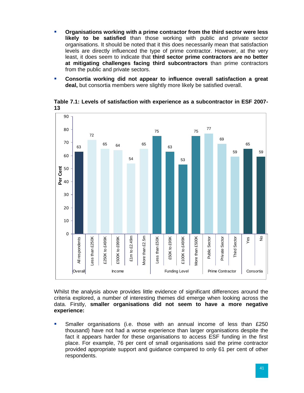- **Organisations working with a prime contractor from the third sector were less likely to be satisfied** than those working with public and private sector organisations. It should be noted that it this does necessarily mean that satisfaction levels are directly influenced the type of prime contractor. However, at the very least, it does seem to indicate that **third sector prime contractors are no better at mitigating challenges facing third subcontractors** than prime contractors from the public and private sectors.
- **Consortia working did not appear to influence overall satisfaction a great deal,** but consortia members were slightly more likely be satisfied overall.



**Table 7.1: Levels of satisfaction with experience as a subcontractor in ESF 2007- 13**

Whilst the analysis above provides little evidence of significant differences around the criteria explored, a number of interesting themes did emerge when looking across the data. Firstly, **smaller organisations did not seem to have a more negative experience:**

**Smaller organisations (i.e. those with an annual income of less than £250** thousand) have not had a worse experience than larger organisations despite the fact it appears harder for these organisations to access ESF funding in the first place. For example, 76 per cent of small organisations said the prime contractor provided appropriate support and guidance compared to only 61 per cent of other respondents.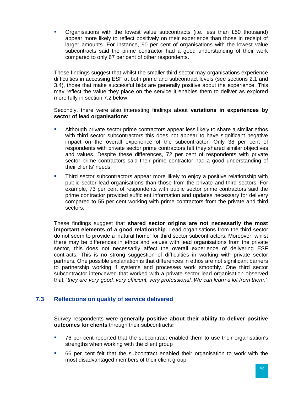Organisations with the lowest value subcontracts (i.e. less than £50 thousand) appear more likely to reflect positively on their experience than those in receipt of larger amounts. For instance, 90 per cent of organisations with the lowest value subcontracts said the prime contractor had a good understanding of their work compared to only 67 per cent of other respondents.

These findings suggest that whilst the smaller third sector may organisations experience difficulties in accessing ESF at both prime and subcontract levels (see sections 2.1 and 3.4), those that make successful bids are generally positive about the experience. This may reflect the value they place on the service it enables them to deliver as explored more fully in section 7.2 below.

Secondly, there were also interesting findings about **variations in experiences by sector of lead organisations**:

- Although private sector prime contractors appear less likely to share a similar ethos with third sector subcontractors this does not appear to have significant negative impact on the overall experience of the subcontractor. Only 38 per cent of respondents with private sector prime contractors felt they shared similar objectives and values. Despite these differences, 72 per cent of respondents with private sector prime contractors said their prime contractor had a good understanding of their clients' needs.
- **Third sector subcontractors appear more likely to enjoy a positive relationship with** public sector lead organisations than those from the private and third sectors. For example, 73 per cent of respondents with public sector prime contractors said the prime contractor provided sufficient information and updates necessary for delivery compared to 55 per cent working with prime contractors from the private and third sectors.

These findings suggest that **shared sector origins are not necessarily the most important elements of a good relationship**. Lead organisations from the third sector do not seem to provide a 'natural home' for third sector subcontractors. Moreover, whilst there may be differences in ethos and values with lead organisations from the private sector, this does not necessarily affect the overall experience of delivering ESF contracts. This is no strong suggestion of difficulties in working with private sector partners. One possible explanation is that differences in ethos are not significant barriers to partnership working if systems and processes work smoothly. One third sector subcontractor interviewed that worked with a private sector lead organisation observed that: '*they are very good, very efficient, very professional. We can learn a lot from them.'*

## <span id="page-47-0"></span>**7.3 Reflections on quality of service delivered**

Survey respondents were **generally positive about their ability to deliver positive outcomes for clients** through their subcontracts**:**

- 76 per cent reported that the subcontract enabled them to use their organisation's strengths when working with the client group
- 66 per cent felt that the subcontract enabled their organisation to work with the most disadvantaged members of their client group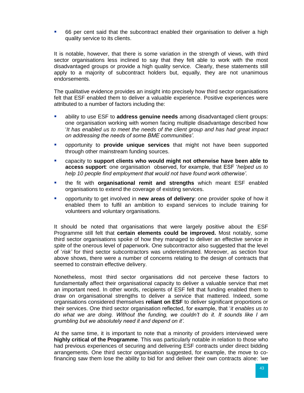66 per cent said that the subcontract enabled their organisation to deliver a high quality service to its clients.

It is notable, however, that there is some variation in the strength of views, with third sector organisations less inclined to say that they felt able to work with the most disadvantaged groups or provide a high quality service. Clearly, these statements still apply to a majority of subcontract holders but, equally, they are not unanimous endorsements.

The qualitative evidence provides an insight into precisely how third sector organisations felt that ESF enabled them to deliver a valuable experience. Positive experiences were attributed to a number of factors including the:

- ability to use ESF to **address genuine needs** among disadvantaged client groups: one organisation working with women facing multiple disadvantage described how '*It has enabled us to meet the needs of the client group and has had great impact on addressing the needs of some BME communities'.*
- opportunity to **provide unique services** that might not have been supported through other mainstream funding sources.
- capacity to **support clients who would might not otherwise have been able to access support**: one organisation observed, for example, that ESF '*helped us to help 10 people find employment that would not have found work otherwise'.*
- the fit with **organisational remit and strengths** which meant ESF enabled organisations to extend the coverage of existing services.
- opportunity to get involved in **new areas of delivery**: one provider spoke of how it enabled them to fulfil an ambition to expand services to include training for volunteers and voluntary organisations.

It should be noted that organisations that were largely positive about the ESF Programme still felt that **certain elements could be improved.** Most notably, some third sector organisations spoke of how they managed to deliver an effective service *in spite* of the onerous level of paperwork. One subcontractor also suggested that the level of '*risk'* for third sector subcontractors was underestimated. Moreover, as section four above shows, there were a number of concerns relating to the design of contracts that seemed to constrain effective delivery.

Nonetheless, most third sector organisations did not perceive these factors to fundamentally affect their organisational capacity to deliver a valuable service that met an important need. In other words, recipients of ESF felt that funding enabled them to draw on organisational strengths to deliver a service that mattered. Indeed, some organisations considered themselves **reliant on ESF** to deliver significant proportions or their services. One third sector organisation reflected, for example, that '*it enables us to do what we are doing. Without the funding, we couldn't do it. It sounds like I am grumbling but we absolutely need it and depend on it'.*

At the same time, it is important to note that a minority of providers interviewed were **highly critical of the Programme**. This was particularly notable in relation to those who had previous experiences of securing and delivering ESF contracts under direct bidding arrangements. One third sector organisation suggested, for example, the move to cofinancing saw them lose the ability to bid for and deliver their own contracts alone: *'we*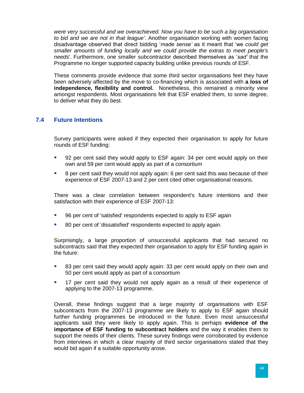*were very successful and we overachieved. Now you have to be such a big organisation to bid and we are not in that league'*. Another organisation working with women facing disadvantage observed that direct bidding '*made sense'* as it meant that 'we *could get smaller amounts of funding locally and we could provide the extras to meet people's needs*'. Furthermore, one smaller subcontractor described themselves as '*sad'* that the Programme no longer supported capacity building unlike previous rounds of ESF.

These comments provide evidence that some third sector organisations feel they have been adversely affected by the move to co-financing which is associated with **a loss of independence, flexibility and control.** Nonetheless, this remained a minority view amongst respondents. Most organisations felt that ESF enabled them, to some degree, to deliver what they do best.

## <span id="page-49-0"></span>**7.4 Future Intentions**

Survey participants were asked if they expected their organisation to apply for future rounds of ESF funding:

- 92 per cent said they would apply to ESF again: 34 per cent would apply on their own and 59 per cent would apply as part of a consortium
- 8 per cent said they would not apply again: 6 per cent said this was because of their experience of ESF 2007-13 and 2 per cent cited other organisational reasons.

There was a clear correlation between respondent's future intentions and their satisfaction with their experience of ESF 2007-13:

- 96 per cent of 'satisfied' respondents expected to apply to ESF again
- 80 per cent of 'dissatisfied' respondents expected to apply again.

Surprisingly, a large proportion of unsuccessful applicants that had secured no subcontracts said that they expected their organisation to apply for ESF funding again in the future:

- 83 per cent said they would apply again: 33 per cent would apply on their own and 50 per cent would apply as part of a consortium
- 17 per cent said they would not apply again as a result of their experience of applying to the 2007-13 programme.

Overall, these findings suggest that a large majority of organisations with ESF subcontracts from the 2007-13 programme are likely to apply to ESF again should further funding programmes be introduced in the future. Even most unsuccessful applicants said they were likely to apply again. This is perhaps **evidence of the importance of ESF funding to subcontract holders** and the way it enables them to support the needs of their clients. These survey findings were corroborated by evidence from interviews in which a clear majority of third sector organisations stated that they would bid again if a suitable opportunity arose.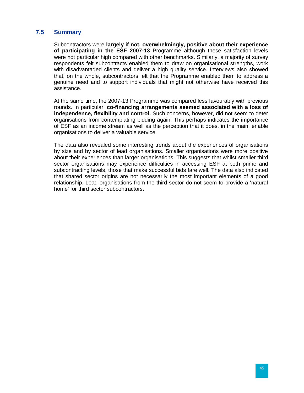#### <span id="page-50-0"></span>**7.5 Summary**

Subcontractors were **largely if not, overwhelmingly, positive about their experience of participating in the ESF 2007-13** Programme although these satisfaction levels were not particular high compared with other benchmarks. Similarly, a majority of survey respondents felt subcontracts enabled them to draw on organisational strengths, work with disadvantaged clients and deliver a high quality service. Interviews also showed that, on the whole, subcontractors felt that the Programme enabled them to address a genuine need and to support individuals that might not otherwise have received this assistance.

At the same time, the 2007-13 Programme was compared less favourably with previous rounds. In particular, **co-financing arrangements seemed associated with a loss of independence, flexibility and control.** Such concerns, however, did not seem to deter organisations from contemplating bidding again. This perhaps indicates the importance of ESF as an income stream as well as the perception that it does, in the main, enable organisations to deliver a valuable service.

The data also revealed some interesting trends about the experiences of organisations by size and by sector of lead organisations. Smaller organisations were more positive about their experiences than larger organisations. This suggests that whilst smaller third sector organisations may experience difficulties in accessing ESF at both prime and subcontracting levels, those that make successful bids fare well. The data also indicated that shared sector origins are not necessarily the most important elements of a good relationship. Lead organisations from the third sector do not seem to provide a 'natural home' for third sector subcontractors.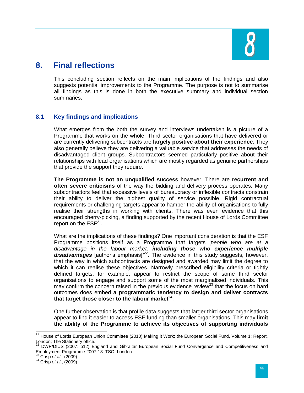

# <span id="page-51-0"></span>**8. Final reflections**

This concluding section reflects on the main implications of the findings and also suggests potential improvements to the Programme. The purpose is not to summarise all findings as this is done in both the executive summary and individual section summaries.

# <span id="page-51-1"></span>**8.1 Key findings and implications**

What emerges from the both the survey and interviews undertaken is a picture of a Programme that works on the whole. Third sector organisations that have delivered or are currently delivering subcontracts are **largely positive about their experience**. They also generally believe they are delivering a valuable service that addresses the needs of disadvantaged client groups. Subcontractors seemed particularly positive about their relationships with lead organisations which are mostly regarded as genuine partnerships that provide the support they require.

**The Programme is not an unqualified success** however. There are **recurrent and often severe criticisms** of the way the bidding and delivery process operates. Many subcontractors feel that excessive levels of bureaucracy or inflexible contracts constrain their ability to deliver the highest quality of service possible. Rigid contractual requirements or challenging targets appear to hamper the ability of organisations to fully realise their strengths in working with clients. There was even evidence that this encouraged cherry-picking, a finding supported by the recent House of Lords Committee report on the  $ESF<sup>21</sup>$ .

What are the implications of these findings? One important consideration is that the ESF Programme positions itself as a Programme that targets '*people who are at a disadvantage in the labour market, including those who experience multiple*  disadvantages [author's emphasis]<sup>22</sup>. The evidence in this study suggests, however, that the way in which subcontracts are designed and awarded may limit the degree to which it can realise these objectives. Narrowly prescribed eligibility criteria or tightly defined targets, for example, appear to restrict the scope of some third sector organisations to engage and support some of the most marginalised individuals. This may confirm the concern raised in the previous evidence review<sup>23</sup> that the focus on hard outcomes does embed **a programmatic tendency to design and deliver contracts that target those closer to the labour market<sup>24</sup>** .

One further observation is that profile data suggests that larger third sector organisations appear to find it easier to access ESF funding than smaller organisations. This may **limit the ability of the Programme to achieve its objectives of supporting individuals** 

 $\overline{\phantom{a}}$ 

<sup>&</sup>lt;sup>21</sup> House of Lords European Union Committee (2010) Making it Work: the European Social Fund, Volume 1: Report. London; The Stationery office.

<sup>22</sup> DWP/DIUS (2007: p12) England and Gibraltar European Social Fund Convergence and Competitiveness and Employment Programme 2007-13. TSO: London

<sup>23</sup> Crisp *et al.,* (2009)

<sup>24</sup> Crisp *et al.*, (2009)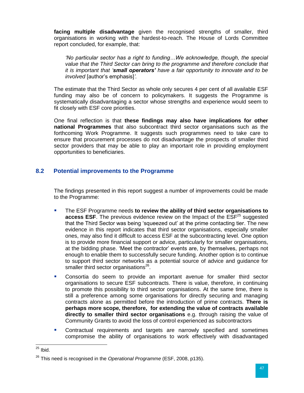**facing multiple disadvantage** given the recognised strengths of smaller, third organisations in working with the hardest-to-reach. The House of Lords Committee report concluded, for example, that:

*'No particular sector has a right to funding…We acknowledge, though, the special value that the Third Sector can bring to the programme and therefore conclude that it is important that 'small operators' have a fair opportunity to innovate and to be involved* [author's emphasis]*'.*

The estimate that the Third Sector as whole only secures 4 per cent of all available ESF funding may also be of concern to policymakers. It suggests the Programme is systematically disadvantaging a sector whose strengths and experience would seem to fit closely with ESF core priorities.

One final reflection is that **these findings may also have implications for other national Programmes** that also subcontract third sector organisations such as the forthcoming Work Programme. It suggests such programmes need to take care to ensure that procurement processes do not disadvantage the prospects of smaller third sector providers that may be able to play an important role in providing employment opportunities to beneficiaries.

## <span id="page-52-0"></span>**8.2 Potential improvements to the Programme**

The findings presented in this report suggest a number of improvements could be made to the Programme:

- The ESF Programme needs **to review the ability of third sector organisations to access ESF**. The previous evidence review on the Impact of the ESF<sup>25</sup> suggested that the Third Sector was being 'squeezed out' at the prime contacting tier. The new evidence in this report indicates that third sector organisations, especially smaller ones, may also find it difficult to access ESF at the subcontracting level. One option is to provide more financial support or advice, particularly for smaller organisations, at the bidding phase. 'Meet the contractor' events are, by themselves, perhaps not enough to enable them to successfully secure funding. Another option is to continue to support third sector networks as a potential source of advice and guidance for smaller third sector organisations<sup>26</sup>.
- Consortia do seem to provide an important avenue for smaller third sector organisations to secure ESF subcontracts. There is value, therefore, in continuing to promote this possibility to third sector organisations. At the same time, there is still a preference among some organisations for directly securing and managing contracts alone as permitted before the introduction of prime contracts. **There is perhaps more scope, therefore, for extending the value of contracts available directly to smaller third sector organisations** e.g. through raising the value of Community Grants to avoid the loss of control experienced as subcontractors
- **•** Contractual requirements and targets are narrowly specified and sometimes compromise the ability of organisations to work effectively with disadvantaged

 $\overline{a}$  $^{25}$  Ibid.

<sup>26</sup> This need is recognised in the *Operational Programme* (ESF, 2008, p135).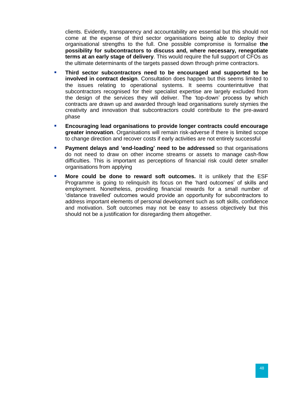clients. Evidently, transparency and accountability are essential but this should not come at the expense of third sector organisations being able to deploy their organisational strengths to the full. One possible compromise is formalise **the possibility for subcontractors to discuss and, where necessary, renegotiate terms at an early stage of delivery**. This would require the full support of CFOs as the ultimate determinants of the targets passed down through prime contractors.

- **Third sector subcontractors need to be encouraged and supported to be involved in contract design**. Consultation does happen but this seems limited to the issues relating to operational systems. It seems counterintuitive that subcontractors recognised for their specialist expertise are largely excluded from the design of the services they will deliver. The 'top-down' process by which contracts are drawn up and awarded through lead organisations surely stymies the creativity and innovation that subcontractors could contribute to the pre-award phase
- **Encouraging lead organisations to provide longer contracts could encourage greater innovation**. Organisations will remain risk-adverse if there is limited scope to change direction and recover costs if early activities are not entirely successful
- **Payment delays and 'end-loading' need to be addressed** so that organisations do not need to draw on other income streams or assets to manage cash-flow difficulties. This is important as perceptions of financial risk could deter smaller organisations from applying
- **More could be done to reward soft outcomes.** It is unlikely that the ESF Programme is going to relinquish its focus on the 'hard outcomes' of skills and employment. Nonetheless, providing financial rewards for a small number of 'distance travelled' outcomes would provide an opportunity for subcontractors to address important elements of personal development such as soft skills, confidence and motivation. Soft outcomes may not be easy to assess objectively but this should not be a justification for disregarding them altogether.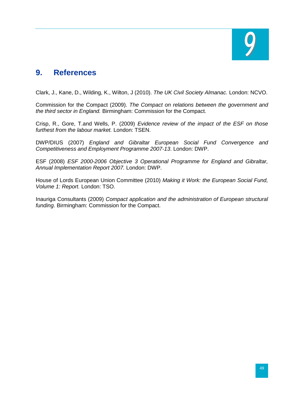

# <span id="page-54-0"></span>**9. References**

Clark, J., Kane, D., Wilding, K., Wilton, J (2010). *The UK Civil Society Almanac.* London: NCVO.

Commission for the Compact (2009). *The Compact on relations between the government and the third sector in England.* Birmingham: Commission for the Compact.

Crisp, R., Gore, T.and Wells, P. (2009) *Evidence review of the impact of the ESF on those furthest from the labour market.* London: TSEN.

DWP/DIUS (2007) *England and Gibraltar European Social Fund Convergence and Competitiveness and Employment Programme 2007-13*. London: DWP.

ESF (2008) *ESF 2000-2006 Objective 3 Operational Programme for England and Gibraltar, Annual Implementation Report 2007.* London: DWP.

House of Lords European Union Committee (2010) *Making it Work: the European Social Fund, Volume 1: Report.* London: TSO.

Inauriga Consultants (2009) *Compact application and the administration of European structural funding*. Birmingham: Commission for the Compact.